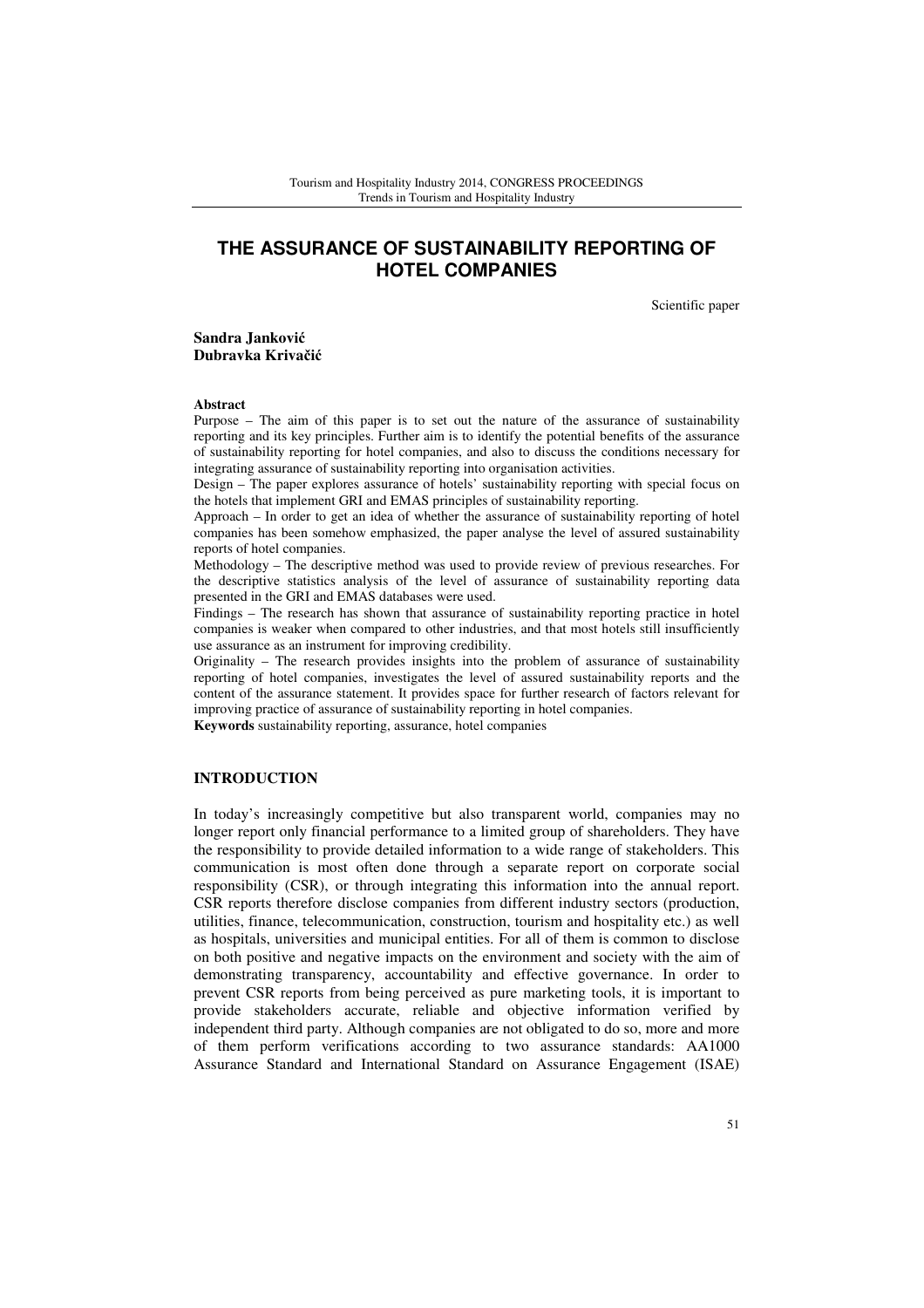# **THE ASSURANCE OF SUSTAINABILITY REPORTING OF HOTEL COMPANIES**

Scientific paper

**Sandra Jankovi**ć **Dubravka Kriva**č**i**ć

#### **Abstract**

Purpose – The aim of this paper is to set out the nature of the assurance of sustainability reporting and its key principles. Further aim is to identify the potential benefits of the assurance of sustainability reporting for hotel companies, and also to discuss the conditions necessary for integrating assurance of sustainability reporting into organisation activities.

Design – The paper explores assurance of hotels' sustainability reporting with special focus on the hotels that implement GRI and EMAS principles of sustainability reporting.

Approach – In order to get an idea of whether the assurance of sustainability reporting of hotel companies has been somehow emphasized, the paper analyse the level of assured sustainability reports of hotel companies.

Methodology – The descriptive method was used to provide review of previous researches. For the descriptive statistics analysis of the level of assurance of sustainability reporting data presented in the GRI and EMAS databases were used.

Findings – The research has shown that assurance of sustainability reporting practice in hotel companies is weaker when compared to other industries, and that most hotels still insufficiently use assurance as an instrument for improving credibility.

Originality – The research provides insights into the problem of assurance of sustainability reporting of hotel companies, investigates the level of assured sustainability reports and the content of the assurance statement. It provides space for further research of factors relevant for improving practice of assurance of sustainability reporting in hotel companies.

**Keywords** sustainability reporting, assurance, hotel companies

### **INTRODUCTION**

In today's increasingly competitive but also transparent world, companies may no longer report only financial performance to a limited group of shareholders. They have the responsibility to provide detailed information to a wide range of stakeholders. This communication is most often done through a separate report on corporate social responsibility (CSR), or through integrating this information into the annual report. CSR reports therefore disclose companies from different industry sectors (production, utilities, finance, telecommunication, construction, tourism and hospitality etc.) as well as hospitals, universities and municipal entities. For all of them is common to disclose on both positive and negative impacts on the environment and society with the aim of demonstrating transparency, accountability and effective governance. In order to prevent CSR reports from being perceived as pure marketing tools, it is important to provide stakeholders accurate, reliable and objective information verified by independent third party. Although companies are not obligated to do so, more and more of them perform verifications according to two assurance standards: AA1000 Assurance Standard and International Standard on Assurance Engagement (ISAE)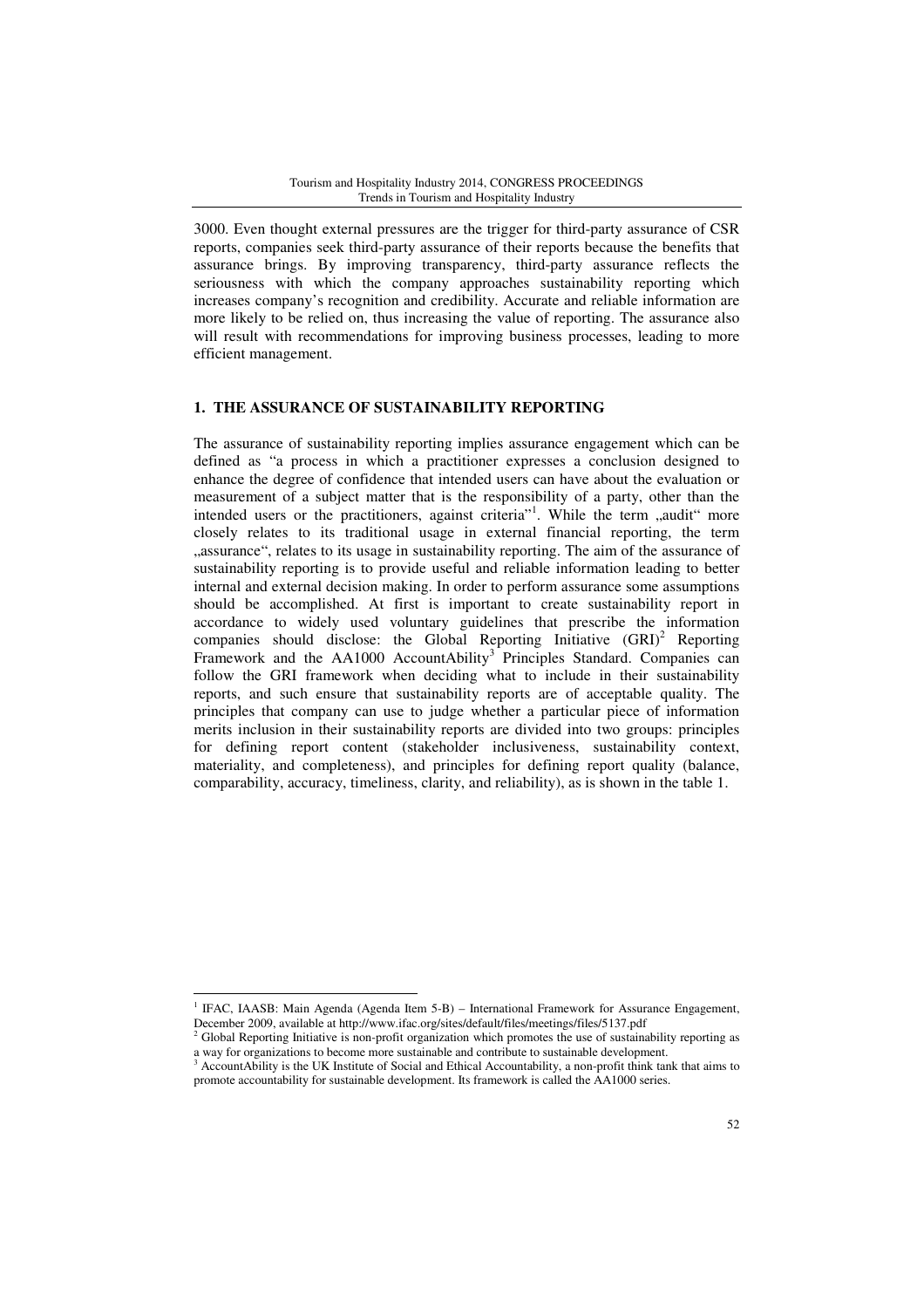3000. Even thought external pressures are the trigger for third-party assurance of CSR reports, companies seek third-party assurance of their reports because the benefits that assurance brings. By improving transparency, third-party assurance reflects the seriousness with which the company approaches sustainability reporting which increases company's recognition and credibility. Accurate and reliable information are more likely to be relied on, thus increasing the value of reporting. The assurance also will result with recommendations for improving business processes, leading to more efficient management.

# **1. THE ASSURANCE OF SUSTAINABILITY REPORTING**

The assurance of sustainability reporting implies assurance engagement which can be defined as "a process in which a practitioner expresses a conclusion designed to enhance the degree of confidence that intended users can have about the evaluation or measurement of a subject matter that is the responsibility of a party, other than the intended users or the practitioners, against criteria"<sup>1</sup>. While the term "audit" more closely relates to its traditional usage in external financial reporting, the term "assurance", relates to its usage in sustainability reporting. The aim of the assurance of sustainability reporting is to provide useful and reliable information leading to better internal and external decision making. In order to perform assurance some assumptions should be accomplished. At first is important to create sustainability report in accordance to widely used voluntary guidelines that prescribe the information companies should disclose: the Global Reporting Initiative  $(GRI)^2$  Reporting Framework and the AA1000 AccountAbility<sup>3</sup> Principles Standard. Companies can follow the GRI framework when deciding what to include in their sustainability reports, and such ensure that sustainability reports are of acceptable quality. The principles that company can use to judge whether a particular piece of information merits inclusion in their sustainability reports are divided into two groups: principles for defining report content (stakeholder inclusiveness, sustainability context, materiality, and completeness), and principles for defining report quality (balance, comparability, accuracy, timeliness, clarity, and reliability), as is shown in the table 1.

<sup>1</sup> IFAC, IAASB: Main Agenda (Agenda Item 5-B) – International Framework for Assurance Engagement, December 2009, available at http://www.ifac.org/sites/default/files/meetings/files/5137.pdf

<sup>&</sup>lt;sup>2</sup> Global Reporting Initiative is non-profit organization which promotes the use of sustainability reporting as a way for organizations to become more sustainable and contribute to sustainable development.<br><sup>3</sup> Agoout Ability is the UK Institute of Social and Ethical Agooutsbility, a non-profit think top

AccountAbility is the UK Institute of Social and Ethical Accountability, a non-profit think tank that aims to promote accountability for sustainable development. Its framework is called the AA1000 series.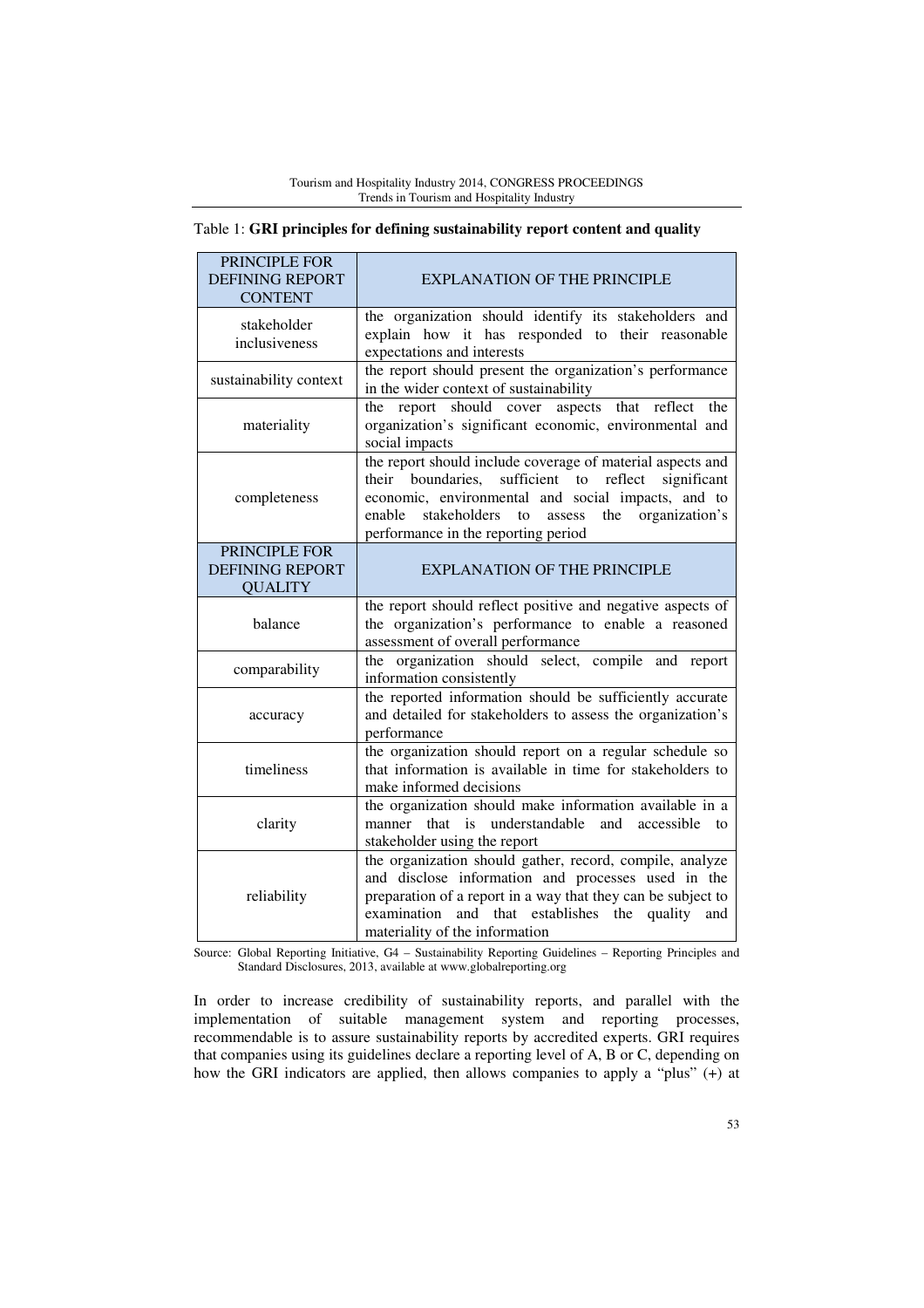| PRINCIPLE FOR<br><b>DEFINING REPORT</b><br><b>CONTENT</b> | <b>EXPLANATION OF THE PRINCIPLE</b>                                                                                                                                                                                                                                         |  |
|-----------------------------------------------------------|-----------------------------------------------------------------------------------------------------------------------------------------------------------------------------------------------------------------------------------------------------------------------------|--|
| stakeholder<br>inclusiveness                              | the organization should identify its stakeholders and<br>explain how it has responded to their reasonable<br>expectations and interests                                                                                                                                     |  |
| sustainability context                                    | the report should present the organization's performance<br>in the wider context of sustainability                                                                                                                                                                          |  |
| materiality                                               | aspects<br>report should cover<br>that reflect<br>the<br>the<br>organization's significant economic, environmental and<br>social impacts                                                                                                                                    |  |
| completeness                                              | the report should include coverage of material aspects and<br>their boundaries, sufficient to reflect significant<br>economic, environmental and social impacts, and to<br>the organization's<br>enable stakeholders<br>to<br>assess<br>performance in the reporting period |  |
| PRINCIPLE FOR                                             |                                                                                                                                                                                                                                                                             |  |
| <b>DEFINING REPORT</b>                                    | <b>EXPLANATION OF THE PRINCIPLE</b>                                                                                                                                                                                                                                         |  |
| <b>QUALITY</b>                                            |                                                                                                                                                                                                                                                                             |  |
| balance                                                   | the report should reflect positive and negative aspects of<br>the organization's performance to enable a reasoned<br>assessment of overall performance                                                                                                                      |  |
| comparability                                             | the organization should select, compile and report<br>information consistently                                                                                                                                                                                              |  |
| accuracy                                                  | the reported information should be sufficiently accurate<br>and detailed for stakeholders to assess the organization's<br>performance                                                                                                                                       |  |
| timeliness                                                | the organization should report on a regular schedule so<br>that information is available in time for stakeholders to<br>make informed decisions                                                                                                                             |  |
| clarity                                                   | the organization should make information available in a<br>understandable<br>that<br>and<br>accessible<br>manner<br>is<br>to<br>stakeholder using the report                                                                                                                |  |
| reliability                                               | the organization should gather, record, compile, analyze<br>and disclose information and processes used in the<br>preparation of a report in a way that they can be subject to<br>and that establishes the quality<br>examination<br>and<br>materiality of the information  |  |

# Table 1: **GRI principles for defining sustainability report content and quality**

Source: Global Reporting Initiative, G4 – Sustainability Reporting Guidelines – Reporting Principles and Standard Disclosures, 2013, available at www.globalreporting.org

In order to increase credibility of sustainability reports, and parallel with the implementation of suitable management system and reporting processes, recommendable is to assure sustainability reports by accredited experts. GRI requires that companies using its guidelines declare a reporting level of A, B or C, depending on how the GRI indicators are applied, then allows companies to apply a "plus" (+) at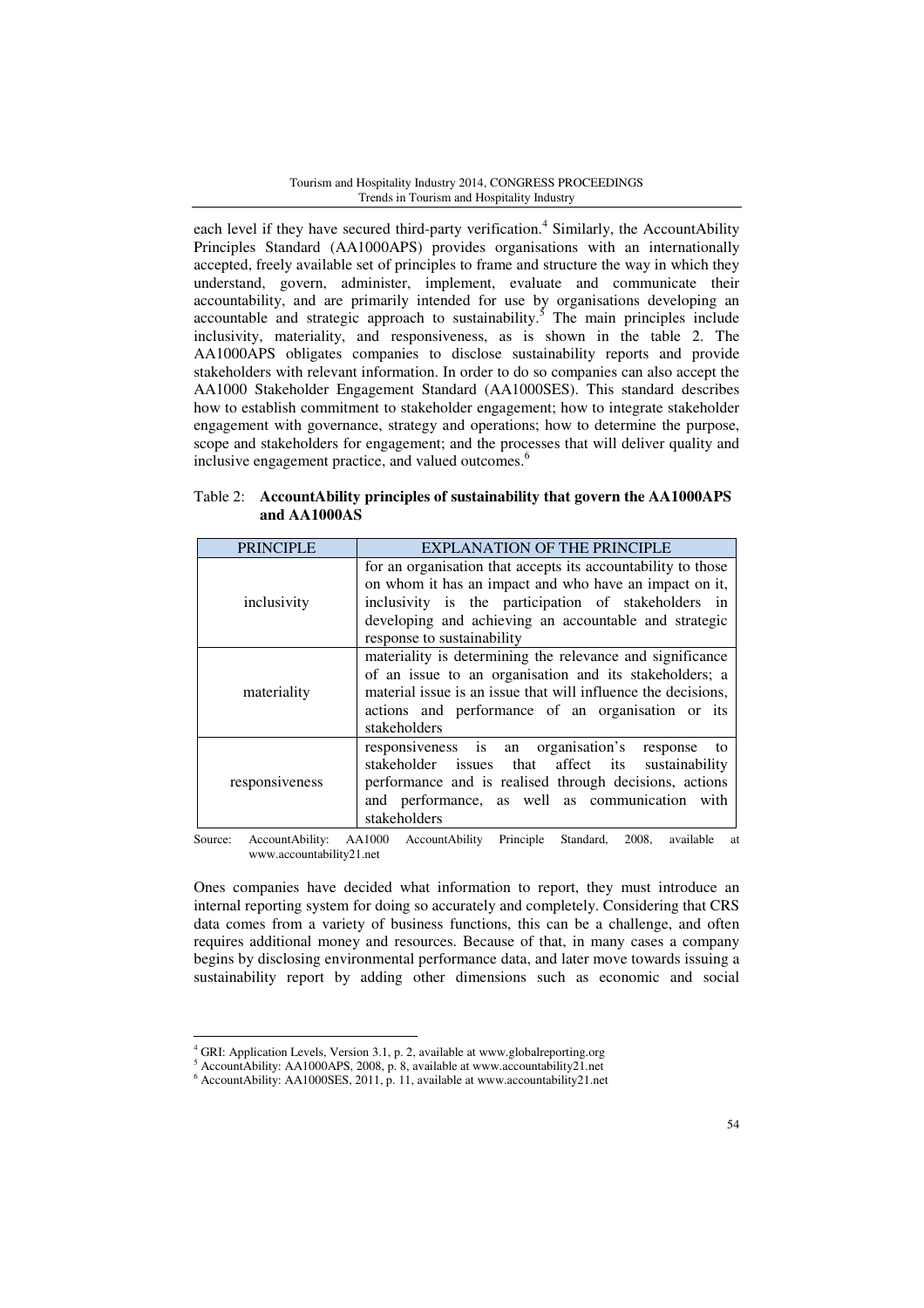each level if they have secured third-party verification.<sup>4</sup> Similarly, the AccountAbility Principles Standard (AA1000APS) provides organisations with an internationally accepted, freely available set of principles to frame and structure the way in which they understand, govern, administer, implement, evaluate and communicate their accountability, and are primarily intended for use by organisations developing an accountable and strategic approach to sustainability.<sup>5</sup> The main principles include inclusivity, materiality, and responsiveness, as is shown in the table 2. The AA1000APS obligates companies to disclose sustainability reports and provide stakeholders with relevant information. In order to do so companies can also accept the AA1000 Stakeholder Engagement Standard (AA1000SES). This standard describes how to establish commitment to stakeholder engagement; how to integrate stakeholder engagement with governance, strategy and operations; how to determine the purpose, scope and stakeholders for engagement; and the processes that will deliver quality and inclusive engagement practice, and valued outcomes.<sup>6</sup>

| Table 2: Accountability principles of sustainability that govern the AA1000APS |
|--------------------------------------------------------------------------------|
| and AA1000AS                                                                   |

| <b>PRINCIPLE</b>    | <b>EXPLANATION OF THE PRINCIPLE</b>                                                                                                                                                                                                                                                                                                                                                                                                                                   |  |
|---------------------|-----------------------------------------------------------------------------------------------------------------------------------------------------------------------------------------------------------------------------------------------------------------------------------------------------------------------------------------------------------------------------------------------------------------------------------------------------------------------|--|
| inclusivity         | for an organisation that accepts its accountability to those<br>on whom it has an impact and who have an impact on it,<br>inclusivity is the participation of stakeholders in<br>developing and achieving an accountable and strategic<br>response to sustainability                                                                                                                                                                                                  |  |
| materiality         | materiality is determining the relevance and significance<br>of an issue to an organisation and its stakeholders; a<br>material issue is an issue that will influence the decisions,<br>actions and performance of an organisation or its<br>stakeholders                                                                                                                                                                                                             |  |
| responsiveness      | responsiveness is an organisation's<br>to<br>response<br>stakeholder issues that affect its<br>sustainability<br>performance and is realised through decisions, actions<br>and performance, as well as communication with<br>stakeholders                                                                                                                                                                                                                             |  |
| $\alpha$ A  A 1.11: | $\lambda$ , $\lambda$ , 1000 $\lambda$ , $\lambda$ , $\lambda$ , $\lambda$ , $\lambda$ , $\lambda$ , $\lambda$ , $\lambda$ , $\lambda$ , $\lambda$ , $\lambda$ , $\lambda$ , $\lambda$ , $\lambda$ , $\lambda$ , $\lambda$ , $\lambda$ , $\lambda$ , $\lambda$ , $\lambda$ , $\lambda$ , $\lambda$ , $\lambda$ , $\lambda$ , $\lambda$ , $\lambda$ , $\lambda$ , $\lambda$ , $\lambda$ , $\lambda$ , $\lambda$ , $\lambda$ , $\lambda$ , $\lambda$ ,<br>$2000 - 3001$ |  |

Source: AccountAbility: AA1000 AccountAbility Principle Standard, 2008, available at www.accountability21.net

Ones companies have decided what information to report, they must introduce an internal reporting system for doing so accurately and completely. Considering that CRS data comes from a variety of business functions, this can be a challenge, and often requires additional money and resources. Because of that, in many cases a company begins by disclosing environmental performance data, and later move towards issuing a sustainability report by adding other dimensions such as economic and social

<sup>&</sup>lt;sup>4</sup> GRI: Application Levels, Version 3.1, p. 2, available at www.globalreporting.org

<sup>&</sup>lt;sup>5</sup> AccountAbility: AA1000APS, 2008, p. 8, available at www.accountability21.net

<sup>6</sup> AccountAbility: AA1000SES, 2011, p. 11, available at www.accountability21.net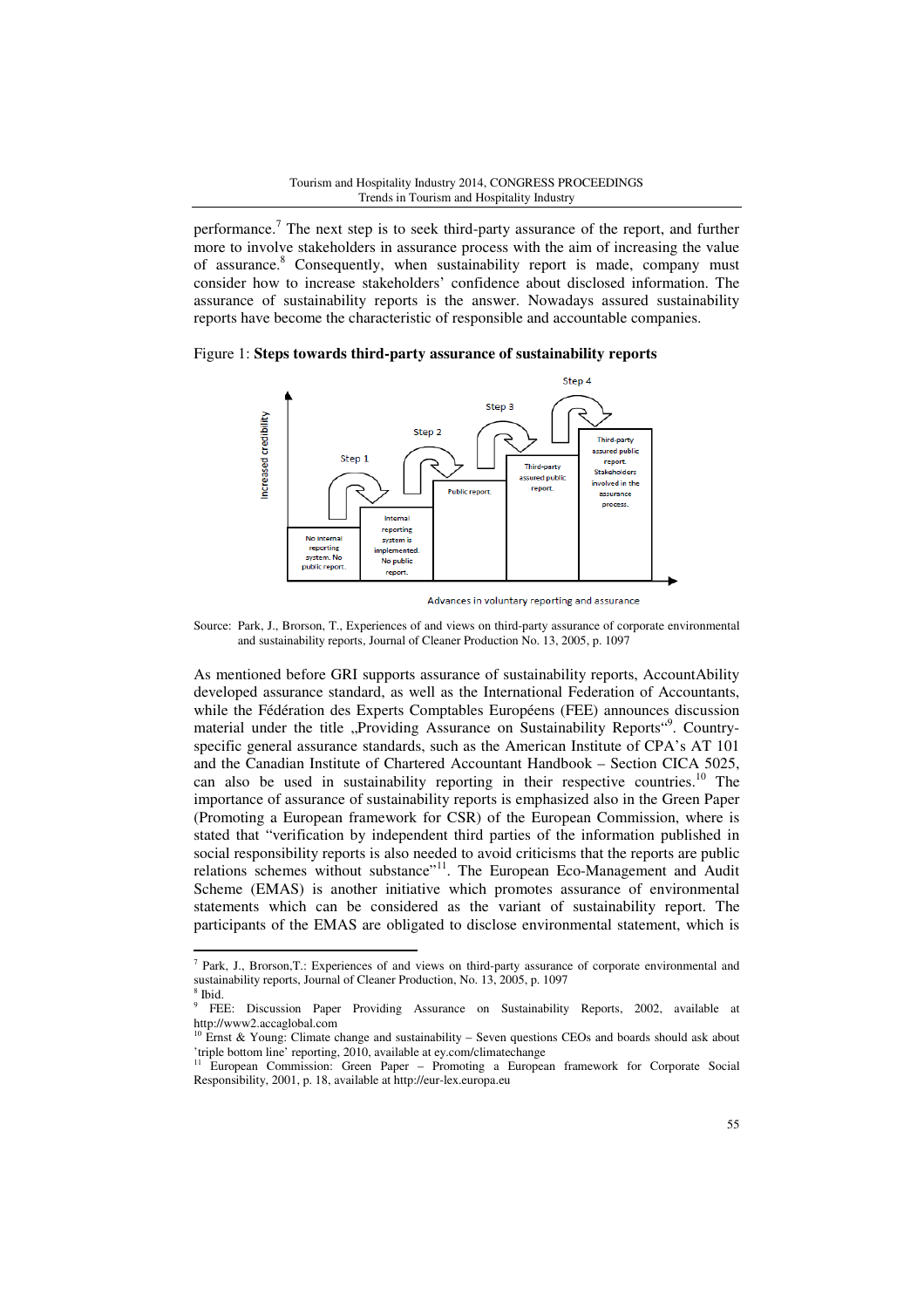performance.<sup>7</sup> The next step is to seek third-party assurance of the report, and further more to involve stakeholders in assurance process with the aim of increasing the value of assurance.<sup>8</sup> Consequently, when sustainability report is made, company must consider how to increase stakeholders' confidence about disclosed information. The assurance of sustainability reports is the answer. Nowadays assured sustainability reports have become the characteristic of responsible and accountable companies.

Figure 1: **Steps towards third-party assurance of sustainability reports**



Advances in voluntary reporting and assurance

Source: Park, J., Brorson, T., Experiences of and views on third-party assurance of corporate environmental and sustainability reports, Journal of Cleaner Production No. 13, 2005, p. 1097

As mentioned before GRI supports assurance of sustainability reports, AccountAbility developed assurance standard, as well as the International Federation of Accountants, while the Fédération des Experts Comptables Européens (FEE) announces discussion material under the title "Providing Assurance on Sustainability Reports"<sup>9</sup>. Countryspecific general assurance standards, such as the American Institute of CPA's AT 101 and the Canadian Institute of Chartered Accountant Handbook – Section CICA 5025, can also be used in sustainability reporting in their respective countries.<sup>10</sup> The importance of assurance of sustainability reports is emphasized also in the Green Paper (Promoting a European framework for CSR) of the European Commission, where is stated that "verification by independent third parties of the information published in social responsibility reports is also needed to avoid criticisms that the reports are public relations schemes without substance"<sup>11</sup>. The European Eco-Management and Audit Scheme (EMAS) is another initiative which promotes assurance of environmental statements which can be considered as the variant of sustainability report. The participants of the EMAS are obligated to disclose environmental statement, which is

<sup>&</sup>lt;sup>7</sup> Park, J., Brorson,T.: Experiences of and views on third-party assurance of corporate environmental and sustainability reports, Journal of Cleaner Production, No. 13, 2005, p. 1097

<sup>8</sup> Ibid.

<sup>9</sup> FEE: Discussion Paper Providing Assurance on Sustainability Reports, 2002, available at http://www2.accaglobal.com

 $10$  Ernst & Young: Climate change and sustainability – Seven questions CEOs and boards should ask about 'triple bottom line' reporting, 2010, available at ey.com/climatechange

<sup>11</sup> European Commission: Green Paper – Promoting a European framework for Corporate Social Responsibility, 2001, p. 18, available at http://eur-lex.europa.eu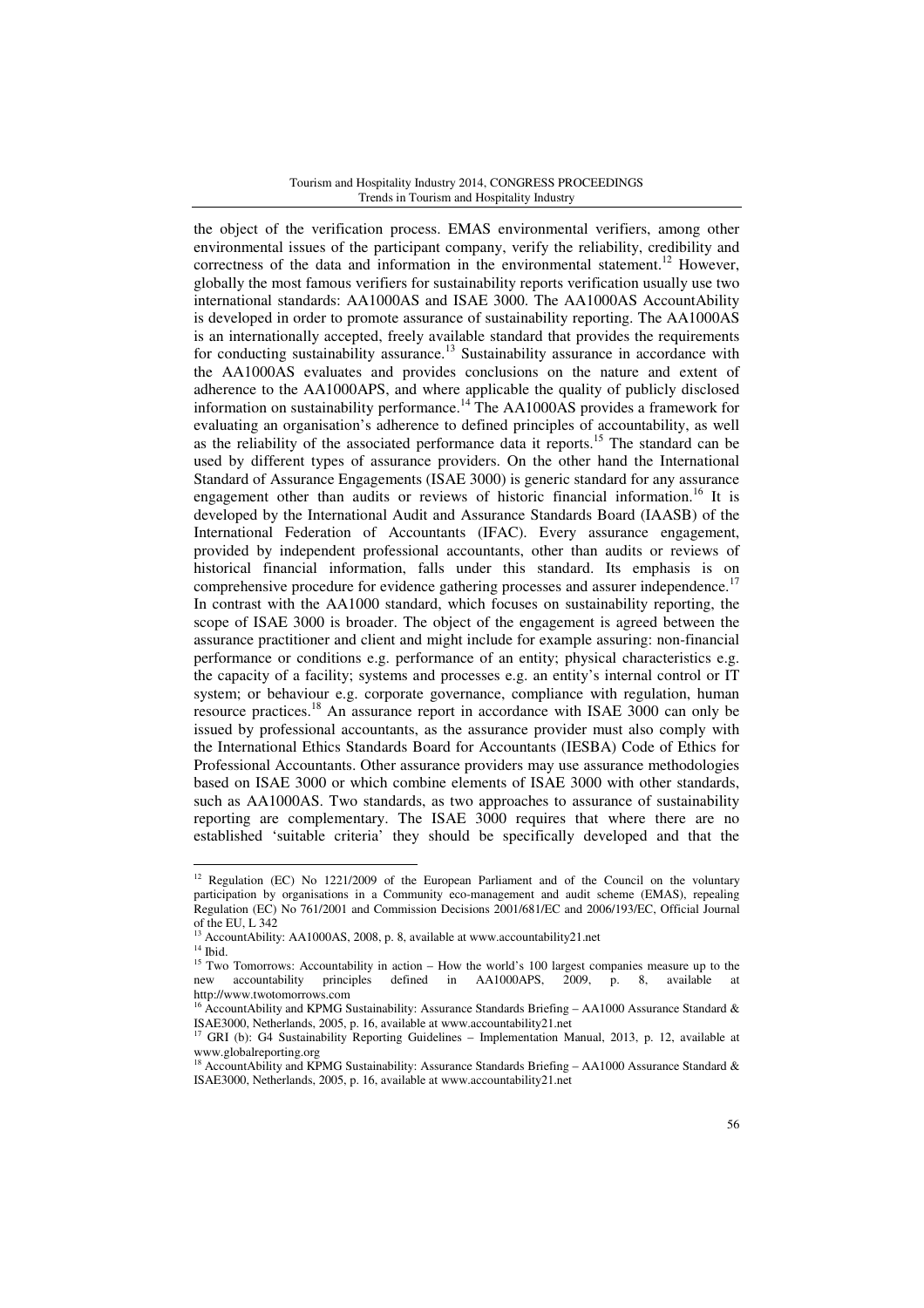the object of the verification process. EMAS environmental verifiers, among other environmental issues of the participant company, verify the reliability, credibility and correctness of the data and information in the environmental statement.<sup>12</sup> However, globally the most famous verifiers for sustainability reports verification usually use two international standards: AA1000AS and ISAE 3000. The AA1000AS AccountAbility is developed in order to promote assurance of sustainability reporting. The AA1000AS is an internationally accepted, freely available standard that provides the requirements for conducting sustainability assurance.<sup>13</sup> Sustainability assurance in accordance with the AA1000AS evaluates and provides conclusions on the nature and extent of adherence to the AA1000APS, and where applicable the quality of publicly disclosed information on sustainability performance.<sup>14</sup> The AA1000AS provides a framework for evaluating an organisation's adherence to defined principles of accountability, as well as the reliability of the associated performance data it reports.<sup>15</sup> The standard can be used by different types of assurance providers. On the other hand the International Standard of Assurance Engagements (ISAE 3000) is generic standard for any assurance engagement other than audits or reviews of historic financial information.<sup>16</sup> It is developed by the International Audit and Assurance Standards Board (IAASB) of the International Federation of Accountants (IFAC). Every assurance engagement, provided by independent professional accountants, other than audits or reviews of historical financial information, falls under this standard. Its emphasis is on comprehensive procedure for evidence gathering processes and assurer independence.<sup>17</sup> In contrast with the AA1000 standard, which focuses on sustainability reporting, the scope of ISAE 3000 is broader. The object of the engagement is agreed between the assurance practitioner and client and might include for example assuring: non-financial performance or conditions e.g. performance of an entity; physical characteristics e.g. the capacity of a facility; systems and processes e.g. an entity's internal control or IT system; or behaviour e.g. corporate governance, compliance with regulation, human resource practices.<sup>18</sup> An assurance report in accordance with ISAE 3000 can only be issued by professional accountants, as the assurance provider must also comply with the International Ethics Standards Board for Accountants (IESBA) Code of Ethics for Professional Accountants. Other assurance providers may use assurance methodologies based on ISAE 3000 or which combine elements of ISAE 3000 with other standards, such as AA1000AS. Two standards, as two approaches to assurance of sustainability reporting are complementary. The ISAE 3000 requires that where there are no established 'suitable criteria' they should be specifically developed and that the

<sup>&</sup>lt;sup>12</sup> Regulation (EC) No 1221/2009 of the European Parliament and of the Council on the voluntary participation by organisations in a Community eco-management and audit scheme (EMAS), repealing Regulation (EC) No 761/2001 and Commission Decisions 2001/681/EC and 2006/193/EC, Official Journal of the EU, L 342

<sup>&</sup>lt;sup>13</sup> AccountAbility: AA1000AS, 2008, p. 8, available at www.accountability21.net

 $14$  Ibid.

<sup>&</sup>lt;sup>15</sup> Two Tomorrows: Accountability in action – How the world's 100 largest companies measure up to the new accountability principles defined in AA1000APS, 2009, p. 8, available at defined in  $AA1000APS$ ,  $2009$ , p. 8, available http://www.twotomorrows.com

AccountAbility and KPMG Sustainability: Assurance Standards Briefing - AA1000 Assurance Standard & ISAE3000, Netherlands, 2005, p. 16, available at www.accountability21.net

<sup>17</sup> GRI (b): G4 Sustainability Reporting Guidelines – Implementation Manual, 2013, p. 12, available at www.globalreporting.org<br><sup>18</sup> AccountAbility and KPMG Sustainability: Assurance Standards Briefing – AA1000 Assurance Standard &

ISAE3000, Netherlands, 2005, p. 16, available at www.accountability21.net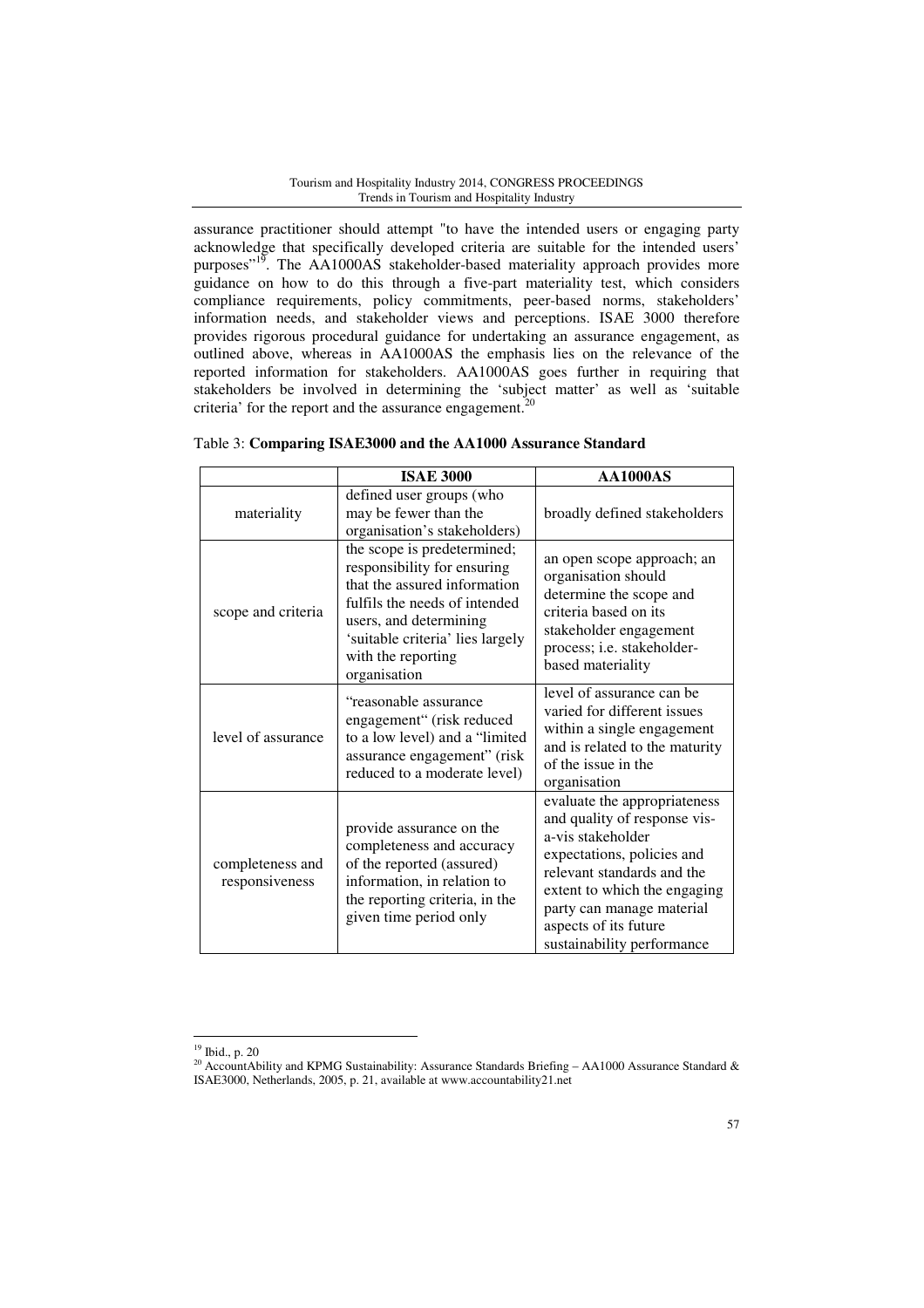assurance practitioner should attempt "to have the intended users or engaging party acknowledge that specifically developed criteria are suitable for the intended users' purposes"<sup>19</sup>. The AA1000AS stakeholder-based materiality approach provides more guidance on how to do this through a five-part materiality test, which considers compliance requirements, policy commitments, peer-based norms, stakeholders' information needs, and stakeholder views and perceptions. ISAE 3000 therefore provides rigorous procedural guidance for undertaking an assurance engagement, as outlined above, whereas in AA1000AS the emphasis lies on the relevance of the reported information for stakeholders. AA1000AS goes further in requiring that stakeholders be involved in determining the 'subject matter' as well as 'suitable criteria' for the report and the assurance engagement.<sup>20</sup>

|                                    | <b>ISAE 3000</b>                                                                                                                                                                                                                | <b>AA1000AS</b>                                                                                                                                                                                                                                                   |
|------------------------------------|---------------------------------------------------------------------------------------------------------------------------------------------------------------------------------------------------------------------------------|-------------------------------------------------------------------------------------------------------------------------------------------------------------------------------------------------------------------------------------------------------------------|
| materiality                        | defined user groups (who<br>may be fewer than the<br>organisation's stakeholders)                                                                                                                                               | broadly defined stakeholders                                                                                                                                                                                                                                      |
| scope and criteria                 | the scope is predetermined;<br>responsibility for ensuring<br>that the assured information<br>fulfils the needs of intended<br>users, and determining<br>'suitable criteria' lies largely<br>with the reporting<br>organisation | an open scope approach; an<br>organisation should<br>determine the scope and<br>criteria based on its<br>stakeholder engagement<br>process; i.e. stakeholder-<br>based materiality                                                                                |
| level of assurance                 | "reasonable assurance<br>engagement" (risk reduced<br>to a low level) and a "limited<br>assurance engagement" (risk<br>reduced to a moderate level)                                                                             | level of assurance can be<br>varied for different issues<br>within a single engagement<br>and is related to the maturity<br>of the issue in the<br>organisation                                                                                                   |
| completeness and<br>responsiveness | provide assurance on the<br>completeness and accuracy<br>of the reported (assured)<br>information, in relation to<br>the reporting criteria, in the<br>given time period only                                                   | evaluate the appropriateness<br>and quality of response vis-<br>a-vis stakeholder<br>expectations, policies and<br>relevant standards and the<br>extent to which the engaging<br>party can manage material<br>aspects of its future<br>sustainability performance |

|  |  |  |  | Table 3: Comparing ISAE3000 and the AA1000 Assurance Standard |  |
|--|--|--|--|---------------------------------------------------------------|--|
|--|--|--|--|---------------------------------------------------------------|--|

<sup>19</sup> Ibid., p. 20

<sup>&</sup>lt;sup>20</sup> AccountAbility and KPMG Sustainability: Assurance Standards Briefing – AA1000 Assurance Standard & ISAE3000, Netherlands, 2005, p. 21, available at www.accountability21.net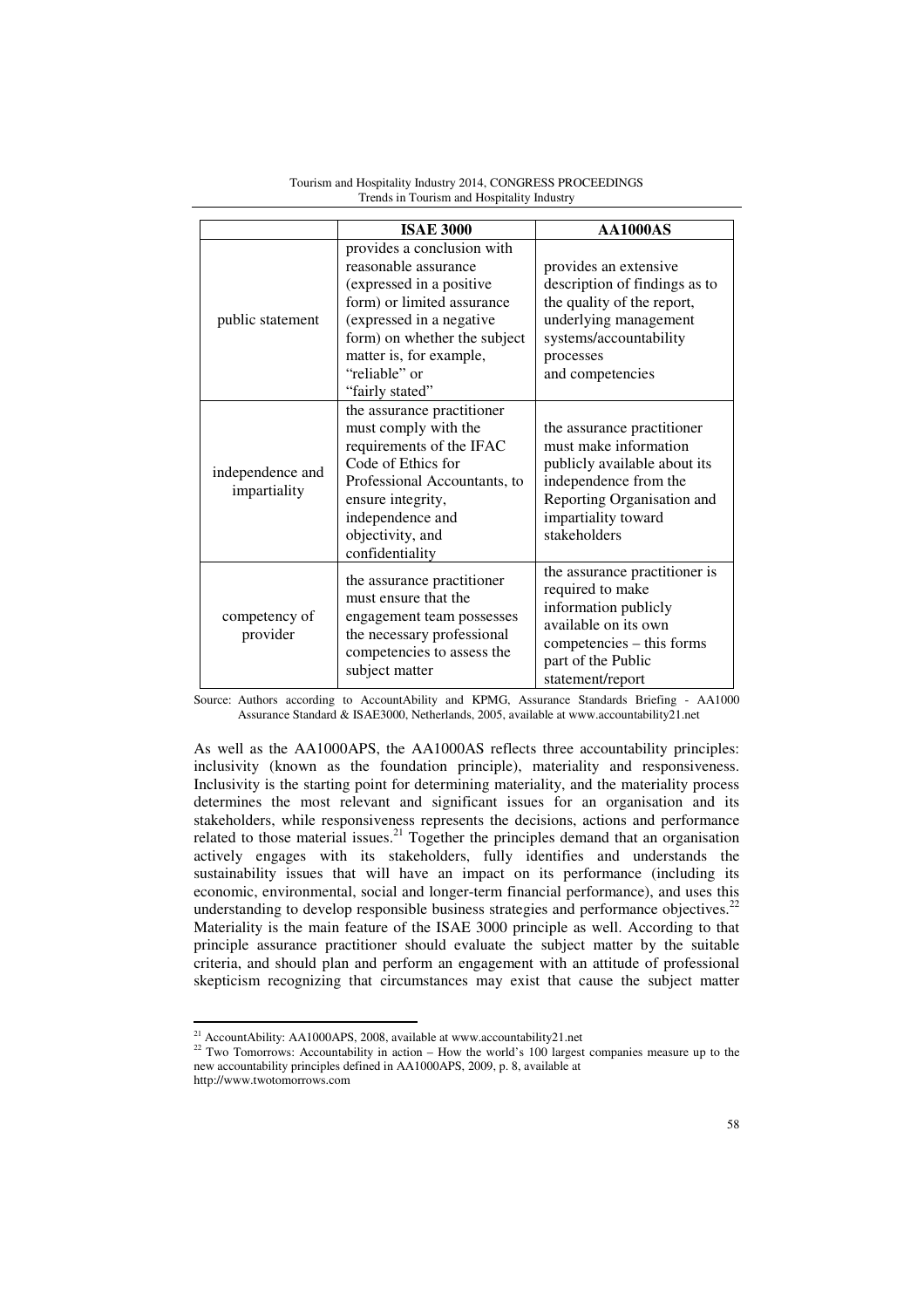|                                  | <b>ISAE 3000</b>                                                                                                                                                                                                                        | <b>AA1000AS</b>                                                                                                                                                                   |
|----------------------------------|-----------------------------------------------------------------------------------------------------------------------------------------------------------------------------------------------------------------------------------------|-----------------------------------------------------------------------------------------------------------------------------------------------------------------------------------|
| public statement                 | provides a conclusion with<br>reasonable assurance<br>(expressed in a positive<br>form) or limited assurance<br>(expressed in a negative<br>form) on whether the subject<br>matter is, for example,<br>"reliable" or<br>"fairly stated" | provides an extensive<br>description of findings as to<br>the quality of the report,<br>underlying management<br>systems/accountability<br>processes<br>and competencies          |
| independence and<br>impartiality | the assurance practitioner<br>must comply with the<br>requirements of the IFAC<br>Code of Ethics for<br>Professional Accountants, to<br>ensure integrity,<br>independence and<br>objectivity, and<br>confidentiality                    | the assurance practitioner<br>must make information<br>publicly available about its<br>independence from the<br>Reporting Organisation and<br>impartiality toward<br>stakeholders |
| competency of<br>provider        | the assurance practitioner<br>must ensure that the<br>engagement team possesses<br>the necessary professional<br>competencies to assess the<br>subject matter                                                                           | the assurance practitioner is<br>required to make<br>information publicly<br>available on its own<br>competencies – this forms<br>part of the Public<br>statement/report          |

Tourism and Hospitality Industry 2014, CONGRESS PROCEEDINGS Trends in Tourism and Hospitality Industry

Source: Authors according to AccountAbility and KPMG, Assurance Standards Briefing - AA1000 Assurance Standard & ISAE3000, Netherlands, 2005, available at www.accountability21.net

As well as the AA1000APS, the AA1000AS reflects three accountability principles: inclusivity (known as the foundation principle), materiality and responsiveness. Inclusivity is the starting point for determining materiality, and the materiality process determines the most relevant and significant issues for an organisation and its stakeholders, while responsiveness represents the decisions, actions and performance related to those material issues.<sup>21</sup> Together the principles demand that an organisation actively engages with its stakeholders, fully identifies and understands the sustainability issues that will have an impact on its performance (including its economic, environmental, social and longer-term financial performance), and uses this understanding to develop responsible business strategies and performance objectives. $^{22}$ Materiality is the main feature of the ISAE 3000 principle as well. According to that principle assurance practitioner should evaluate the subject matter by the suitable criteria, and should plan and perform an engagement with an attitude of professional skepticism recognizing that circumstances may exist that cause the subject matter

<sup>&</sup>lt;sup>21</sup> AccountAbility: AA1000APS, 2008, available at www.accountability21.net

<sup>&</sup>lt;sup>22</sup> Two Tomorrows: Accountability in action – How the world's 100 largest companies measure up to the new accountability principles defined in AA1000APS, 2009, p. 8, available at

http://www.twotomorrows.com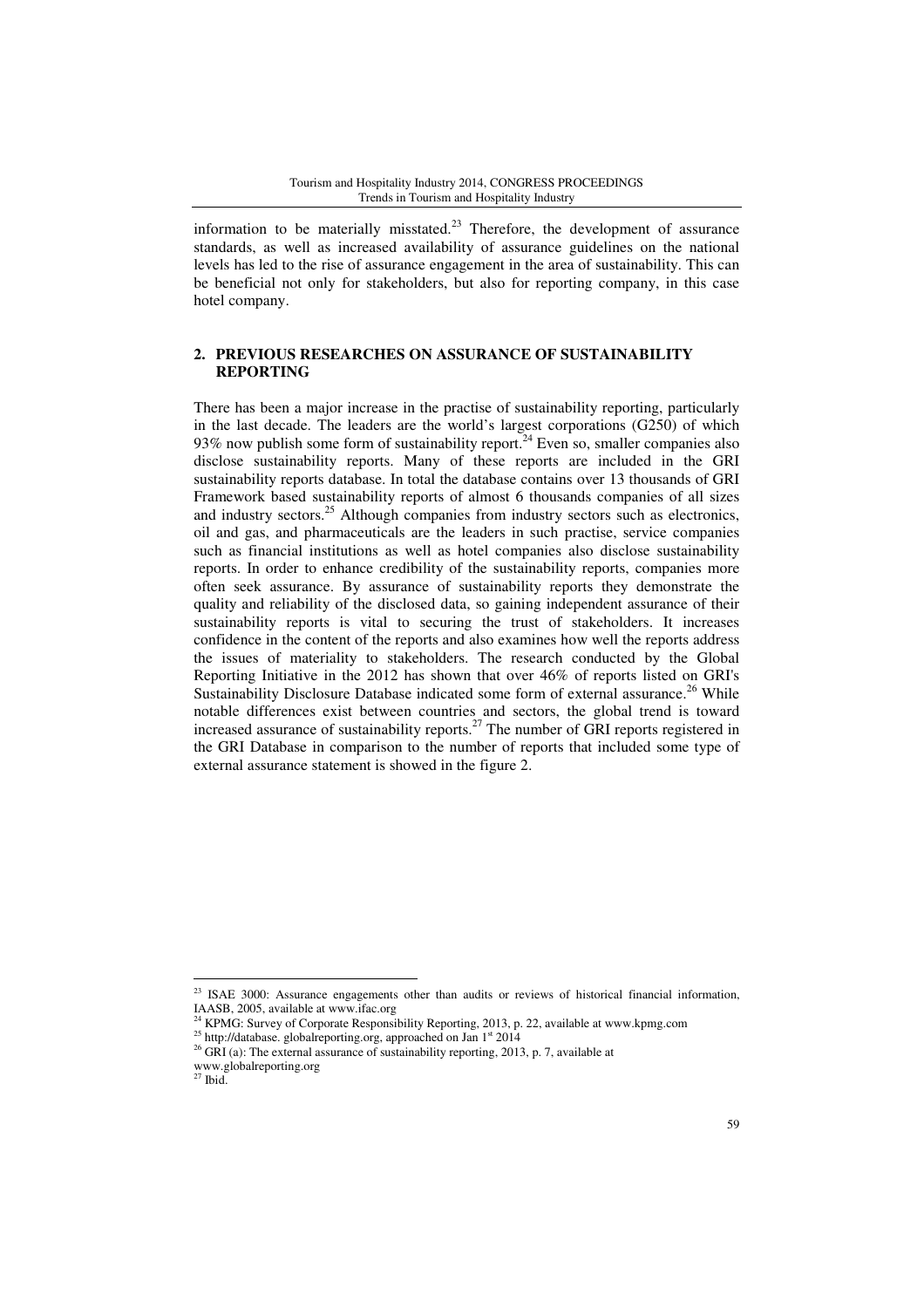information to be materially misstated.<sup>23</sup> Therefore, the development of assurance standards, as well as increased availability of assurance guidelines on the national levels has led to the rise of assurance engagement in the area of sustainability. This can be beneficial not only for stakeholders, but also for reporting company, in this case hotel company.

# **2. PREVIOUS RESEARCHES ON ASSURANCE OF SUSTAINABILITY REPORTING**

There has been a major increase in the practise of sustainability reporting, particularly in the last decade. The leaders are the world's largest corporations (G250) of which 93% now publish some form of sustainability report.<sup>24</sup> Even so, smaller companies also disclose sustainability reports. Many of these reports are included in the GRI sustainability reports database. In total the database contains over 13 thousands of GRI Framework based sustainability reports of almost 6 thousands companies of all sizes and industry sectors.<sup>25</sup> Although companies from industry sectors such as electronics, oil and gas, and pharmaceuticals are the leaders in such practise, service companies such as financial institutions as well as hotel companies also disclose sustainability reports. In order to enhance credibility of the sustainability reports, companies more often seek assurance. By assurance of sustainability reports they demonstrate the quality and reliability of the disclosed data, so gaining independent assurance of their sustainability reports is vital to securing the trust of stakeholders. It increases confidence in the content of the reports and also examines how well the reports address the issues of materiality to stakeholders. The research conducted by the Global Reporting Initiative in the 2012 has shown that over 46% of reports listed on GRI's Sustainability Disclosure Database indicated some form of external assurance.<sup>26</sup> While notable differences exist between countries and sectors, the global trend is toward increased assurance of sustainability reports.<sup>27</sup> The number of GRI reports registered in the GRI Database in comparison to the number of reports that included some type of external assurance statement is showed in the figure 2.

<sup>&</sup>lt;sup>23</sup> ISAE 3000: Assurance engagements other than audits or reviews of historical financial information, IAASB, 2005, available at www.ifac.org

<sup>24</sup> KPMG: Survey of Corporate Responsibility Reporting, 2013, p. 22, available at www.kpmg.com

<sup>&</sup>lt;sup>25</sup> http://database. globalreporting.org, approached on Jan 1<sup>st</sup> 2014

 $^{26}$  GRI (a): The external assurance of sustainability reporting, 2013, p. 7, available at

www.globalreporting.org

 $27$  Ibid.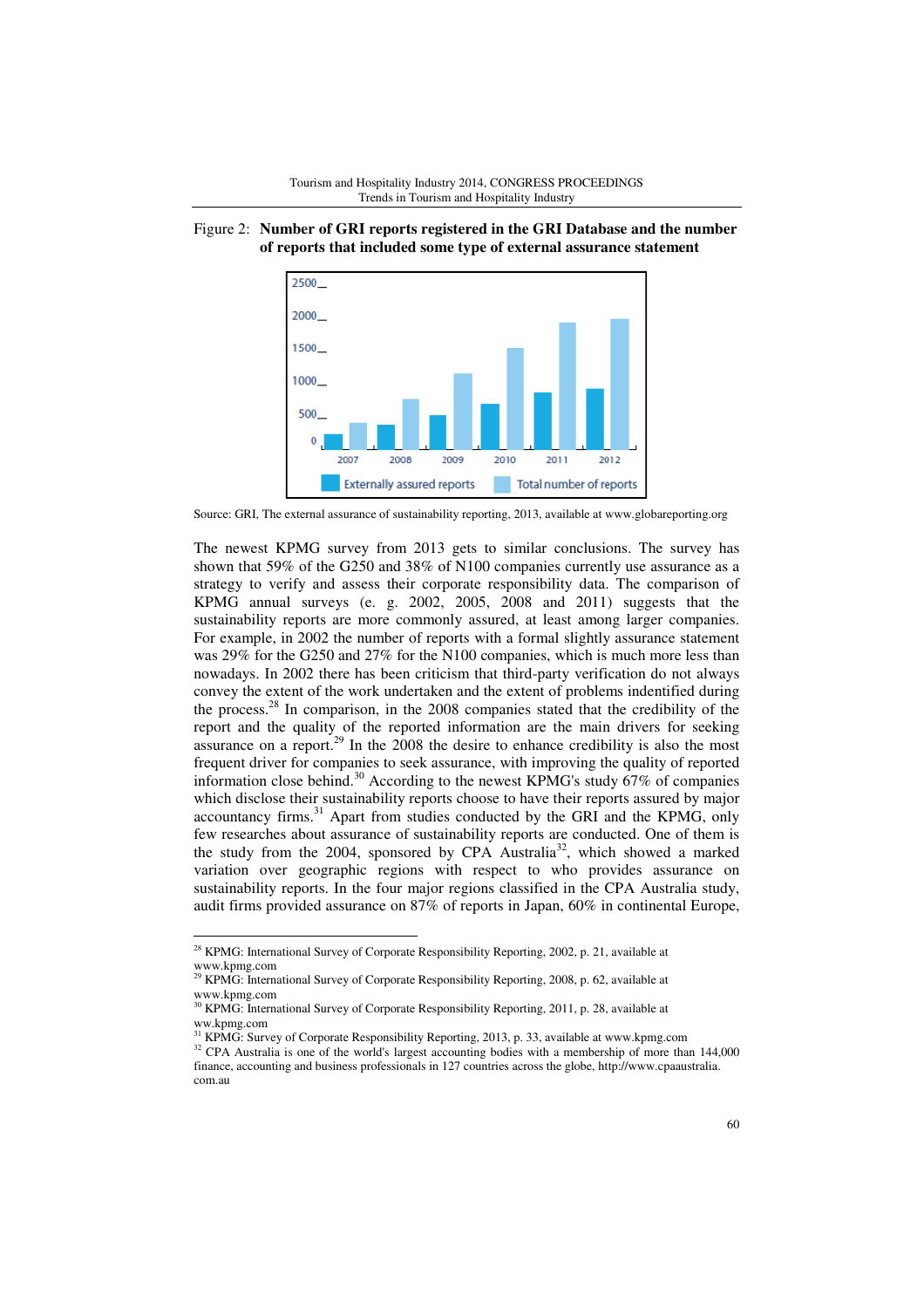

# Figure 2: **Number of GRI reports registered in the GRI Database and the number of reports that included some type of external assurance statement**

Source: GRI, The external assurance of sustainability reporting, 2013, available at www.globareporting.org

The newest KPMG survey from 2013 gets to similar conclusions. The survey has shown that 59% of the G250 and 38% of N100 companies currently use assurance as a strategy to verify and assess their corporate responsibility data. The comparison of KPMG annual surveys (e. g. 2002, 2005, 2008 and 2011) suggests that the sustainability reports are more commonly assured, at least among larger companies. For example, in 2002 the number of reports with a formal slightly assurance statement was 29% for the G250 and 27% for the N100 companies, which is much more less than nowadays. In 2002 there has been criticism that third-party verification do not always convey the extent of the work undertaken and the extent of problems indentified during the process.<sup>28</sup> In comparison, in the 2008 companies stated that the credibility of the report and the quality of the reported information are the main drivers for seeking assurance on a report.<sup>29</sup> In the  $2008$  the desire to enhance credibility is also the most frequent driver for companies to seek assurance, with improving the quality of reported information close behind.<sup>30</sup> According to the newest KPMG's study  $67\%$  of companies which disclose their sustainability reports choose to have their reports assured by major accountancy firms. $31$  Apart from studies conducted by the GRI and the KPMG, only few researches about assurance of sustainability reports are conducted. One of them is the study from the 2004, sponsored by CPA Australia<sup>32</sup>, which showed a marked variation over geographic regions with respect to who provides assurance on sustainability reports. In the four major regions classified in the CPA Australia study, audit firms provided assurance on 87% of reports in Japan, 60% in continental Europe,

<sup>&</sup>lt;sup>28</sup> KPMG: International Survey of Corporate Responsibility Reporting, 2002, p. 21, available at www.kpmg.com

<sup>29</sup> KPMG: International Survey of Corporate Responsibility Reporting, 2008, p. 62, available at www.kpmg.com

 $30$  KPMG: International Survey of Corporate Responsibility Reporting, 2011, p. 28, available at ww.kpmg.com

<sup>&</sup>lt;sup>31</sup> KPMG: Survey of Corporate Responsibility Reporting, 2013, p. 33, available at www.kpmg.com

<sup>&</sup>lt;sup>32</sup> CPA Australia is one of the world's largest accounting bodies with a membership of more than 144,000 finance, accounting and business professionals in 127 countries across the globe, http://www.cpaaustralia. com.au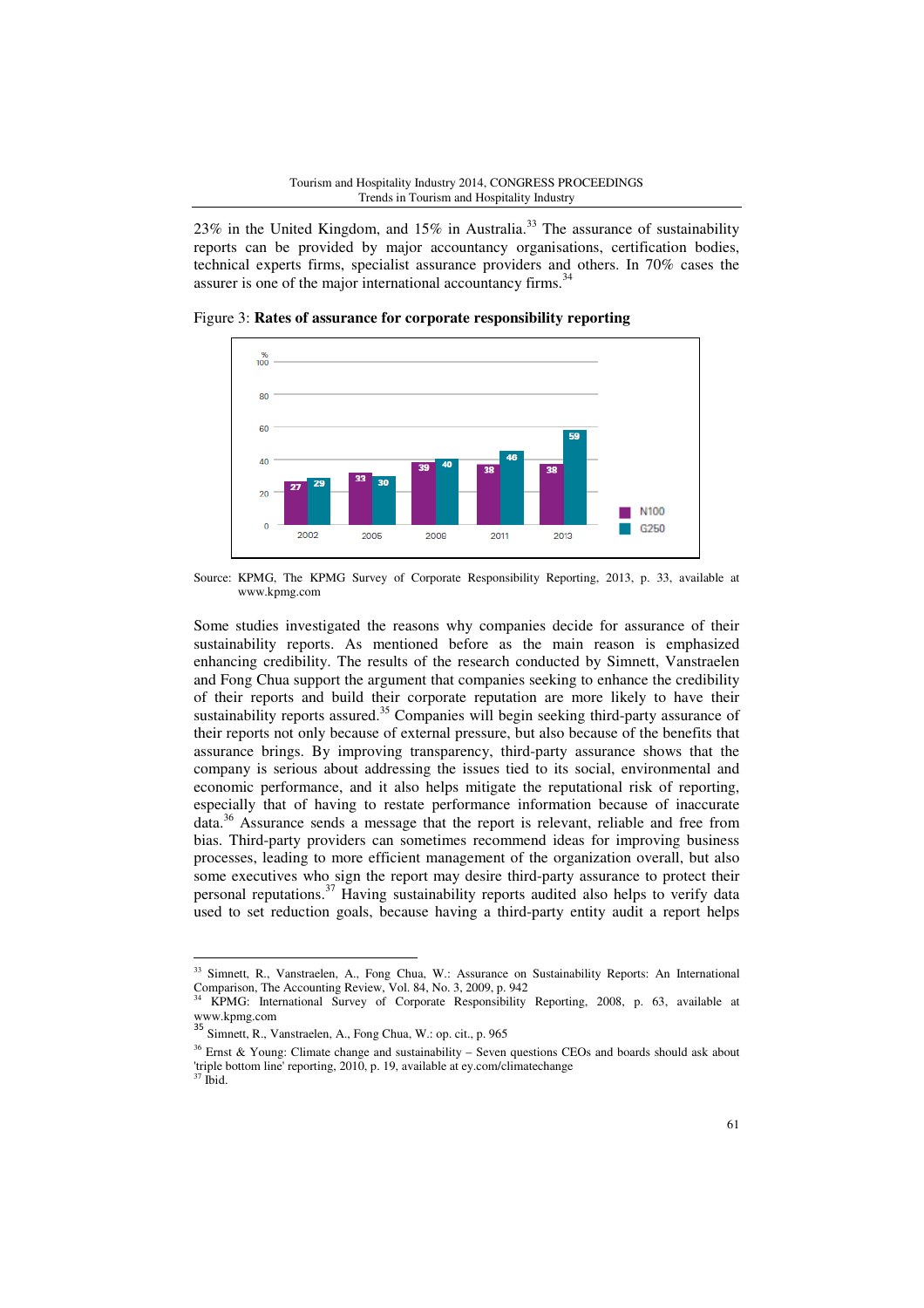23% in the United Kingdom, and 15% in Australia.<sup>33</sup> The assurance of sustainability reports can be provided by major accountancy organisations, certification bodies, technical experts firms, specialist assurance providers and others. In 70% cases the assurer is one of the major international accountancy firms.<sup>34</sup>





Source: KPMG, The KPMG Survey of Corporate Responsibility Reporting, 2013, p. 33, available at www.kpmg.com

Some studies investigated the reasons why companies decide for assurance of their sustainability reports. As mentioned before as the main reason is emphasized enhancing credibility. The results of the research conducted by Simnett, Vanstraelen and Fong Chua support the argument that companies seeking to enhance the credibility of their reports and build their corporate reputation are more likely to have their sustainability reports assured.<sup>35</sup> Companies will begin seeking third-party assurance of their reports not only because of external pressure, but also because of the benefits that assurance brings. By improving transparency, third-party assurance shows that the company is serious about addressing the issues tied to its social, environmental and economic performance, and it also helps mitigate the reputational risk of reporting, especially that of having to restate performance information because of inaccurate data.<sup>36</sup> Assurance sends a message that the report is relevant, reliable and free from bias. Third-party providers can sometimes recommend ideas for improving business processes, leading to more efficient management of the organization overall, but also some executives who sign the report may desire third-party assurance to protect their personal reputations.<sup>37</sup> Having sustainability reports audited also helps to verify data used to set reduction goals, because having a third-party entity audit a report helps

<sup>&</sup>lt;sup>33</sup> Simnett, R., Vanstraelen, A., Fong Chua, W.: Assurance on Sustainability Reports: An International Comparison, The Accounting Review, Vol. 84, No. 3, 2009, p. 942

<sup>34</sup> KPMG: International Survey of Corporate Responsibility Reporting, 2008, p. 63, available at www.kpmg.com

<sup>35</sup> Simnett, R., Vanstraelen, A., Fong Chua, W.: op. cit., p. 965

<sup>&</sup>lt;sup>36</sup> Ernst & Young: Climate change and sustainability – Seven questions CEOs and boards should ask about 'triple bottom line' reporting, 2010, p. 19, available at ey.com/climatechange

 $37$  Ibid.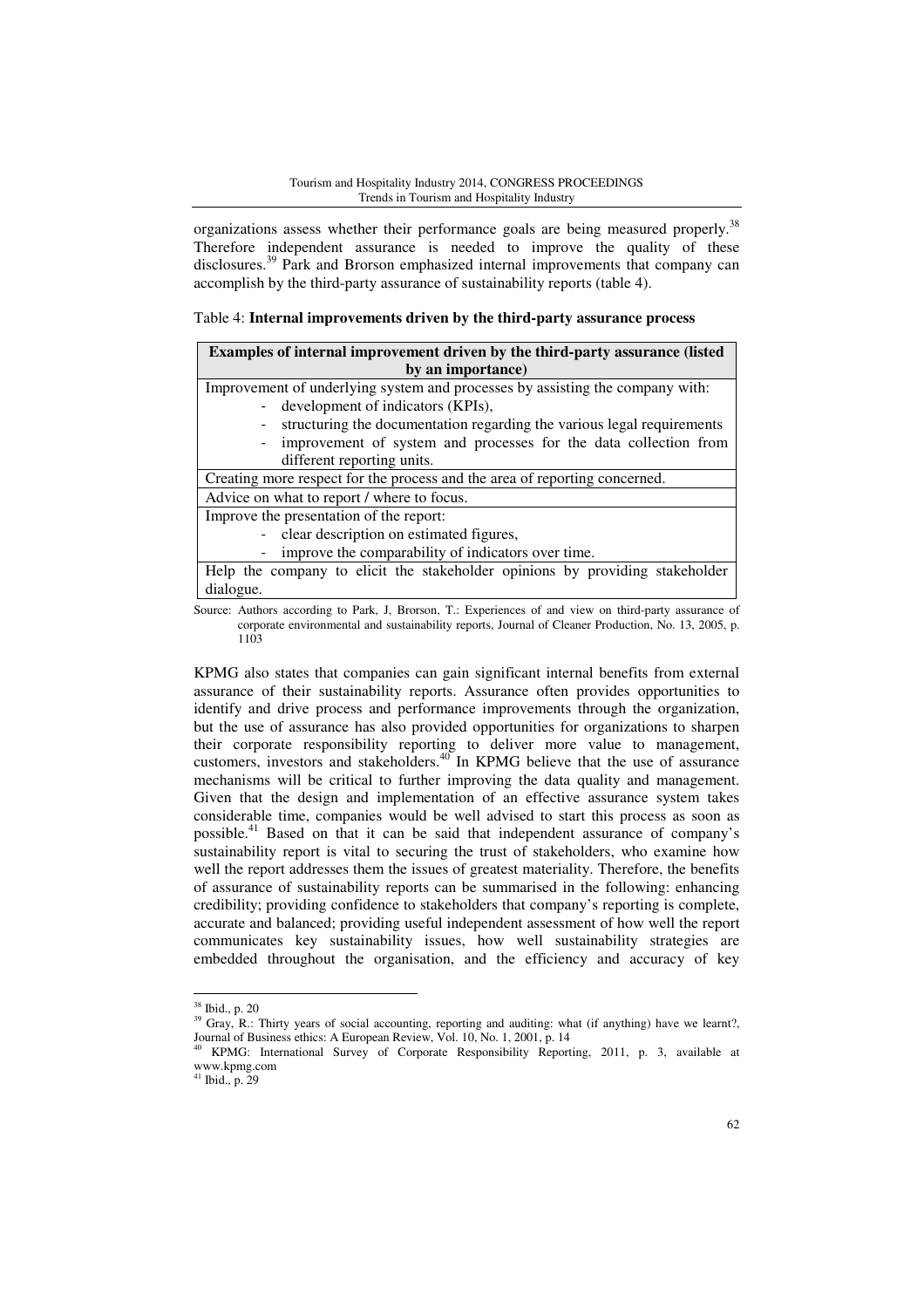organizations assess whether their performance goals are being measured properly.<sup>38</sup> Therefore independent assurance is needed to improve the quality of these disclosures.<sup>39</sup> Park and Brorson emphasized internal improvements that company can accomplish by the third-party assurance of sustainability reports (table 4).

### Table 4: **Internal improvements driven by the third-party assurance process**

| Examples of internal improvement driven by the third-party assurance (listed                           |  |  |
|--------------------------------------------------------------------------------------------------------|--|--|
| by an importance)                                                                                      |  |  |
| Improvement of underlying system and processes by assisting the company with:                          |  |  |
| - development of indicators (KPIs),                                                                    |  |  |
| structuring the documentation regarding the various legal requirements                                 |  |  |
| - improvement of system and processes for the data collection from                                     |  |  |
| different reporting units.                                                                             |  |  |
| Creating more respect for the process and the area of reporting concerned.                             |  |  |
| Advice on what to report / where to focus.                                                             |  |  |
| Improve the presentation of the report:                                                                |  |  |
| - clear description on estimated figures,                                                              |  |  |
| improve the comparability of indicators over time.                                                     |  |  |
| Help the company to elicit the stakeholder opinions by providing stakeholder                           |  |  |
| dialogue.                                                                                              |  |  |
| Source: Authors according to Park. J. Brorson, T.: Experiences of and view on third-party assurance of |  |  |

Source: Authors according to Park, J, Brorson, T.: Experiences of and view on third-party assurance of corporate environmental and sustainability reports, Journal of Cleaner Production, No. 13, 2005, p. 1103

KPMG also states that companies can gain significant internal benefits from external assurance of their sustainability reports. Assurance often provides opportunities to identify and drive process and performance improvements through the organization, but the use of assurance has also provided opportunities for organizations to sharpen their corporate responsibility reporting to deliver more value to management, customers, investors and stakeholders.<sup>40</sup> In KPMG believe that the use of assurance mechanisms will be critical to further improving the data quality and management. Given that the design and implementation of an effective assurance system takes considerable time, companies would be well advised to start this process as soon as possible.<sup>41</sup> Based on that it can be said that independent assurance of company's sustainability report is vital to securing the trust of stakeholders, who examine how well the report addresses them the issues of greatest materiality. Therefore, the benefits of assurance of sustainability reports can be summarised in the following: enhancing credibility; providing confidence to stakeholders that company's reporting is complete, accurate and balanced; providing useful independent assessment of how well the report communicates key sustainability issues, how well sustainability strategies are embedded throughout the organisation, and the efficiency and accuracy of key

<sup>38</sup> Ibid., p. 20

<sup>&</sup>lt;sup>39</sup> Gray, R.: Thirty years of social accounting, reporting and auditing: what (if anything) have we learnt?, Journal of Business ethics: A European Review, Vol. 10, No. 1, 2001, p. 14

<sup>40</sup> KPMG: International Survey of Corporate Responsibility Reporting, 2011, p. 3, available at www.kpmg.com

<sup>41</sup> Ibid., p. 29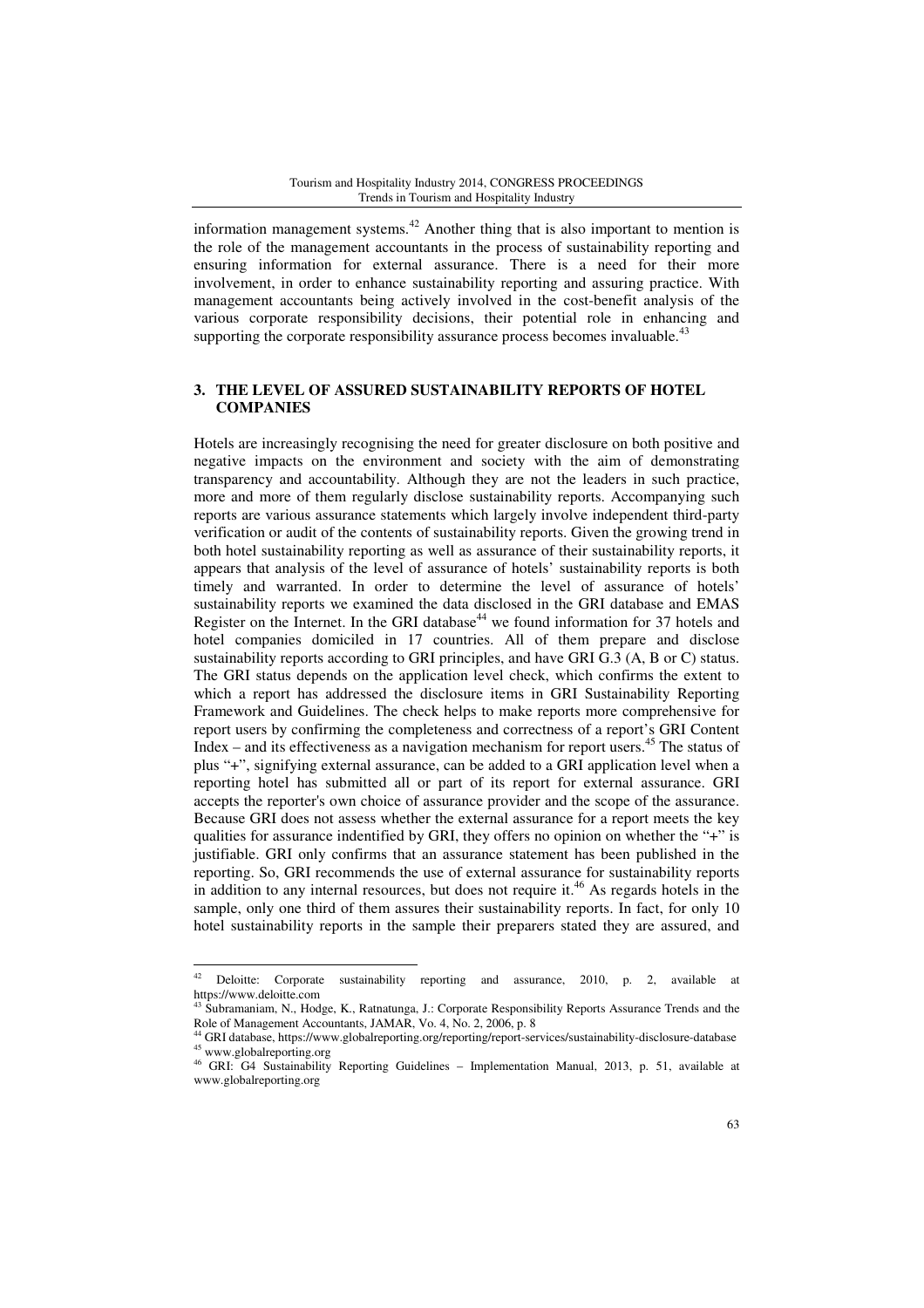information management systems.<sup>42</sup> Another thing that is also important to mention is the role of the management accountants in the process of sustainability reporting and ensuring information for external assurance. There is a need for their more involvement, in order to enhance sustainability reporting and assuring practice. With management accountants being actively involved in the cost-benefit analysis of the various corporate responsibility decisions, their potential role in enhancing and supporting the corporate responsibility assurance process becomes invaluable.<sup>43</sup>

# **3. THE LEVEL OF ASSURED SUSTAINABILITY REPORTS OF HOTEL COMPANIES**

Hotels are increasingly recognising the need for greater disclosure on both positive and negative impacts on the environment and society with the aim of demonstrating transparency and accountability. Although they are not the leaders in such practice, more and more of them regularly disclose sustainability reports. Accompanying such reports are various assurance statements which largely involve independent third-party verification or audit of the contents of sustainability reports. Given the growing trend in both hotel sustainability reporting as well as assurance of their sustainability reports, it appears that analysis of the level of assurance of hotels' sustainability reports is both timely and warranted. In order to determine the level of assurance of hotels' sustainability reports we examined the data disclosed in the GRI database and EMAS Register on the Internet. In the GRI database<sup>44</sup> we found information for  $37$  hotels and hotel companies domiciled in 17 countries. All of them prepare and disclose sustainability reports according to GRI principles, and have GRI G.3 (A, B or C) status. The GRI status depends on the application level check, which confirms the extent to which a report has addressed the disclosure items in GRI Sustainability Reporting Framework and Guidelines. The check helps to make reports more comprehensive for report users by confirming the completeness and correctness of a report's GRI Content Index – and its effectiveness as a navigation mechanism for report users.<sup>45</sup> The status of plus "+", signifying external assurance, can be added to a GRI application level when a reporting hotel has submitted all or part of its report for external assurance. GRI accepts the reporter's own choice of assurance provider and the scope of the assurance. Because GRI does not assess whether the external assurance for a report meets the key qualities for assurance indentified by GRI, they offers no opinion on whether the "+" is justifiable. GRI only confirms that an assurance statement has been published in the reporting. So, GRI recommends the use of external assurance for sustainability reports in addition to any internal resources, but does not require it.<sup>46</sup> As regards hotels in the sample, only one third of them assures their sustainability reports. In fact, for only 10 hotel sustainability reports in the sample their preparers stated they are assured, and

<sup>42</sup> Deloitte: Corporate sustainability reporting and assurance, 2010, p. 2, available at https://www.deloitte.com

Subramaniam, N., Hodge, K., Ratnatunga, J.: Corporate Responsibility Reports Assurance Trends and the Role of Management Accountants, JAMAR, Vo. 4, No. 2, 2006, p. 8

<sup>44</sup> GRI database, https://www.globalreporting.org/reporting/report-services/sustainability-disclosure-database <sup>45</sup> www.globalreporting.org

<sup>46</sup> GRI: G4 Sustainability Reporting Guidelines – Implementation Manual, 2013, p. 51, available at www.globalreporting.org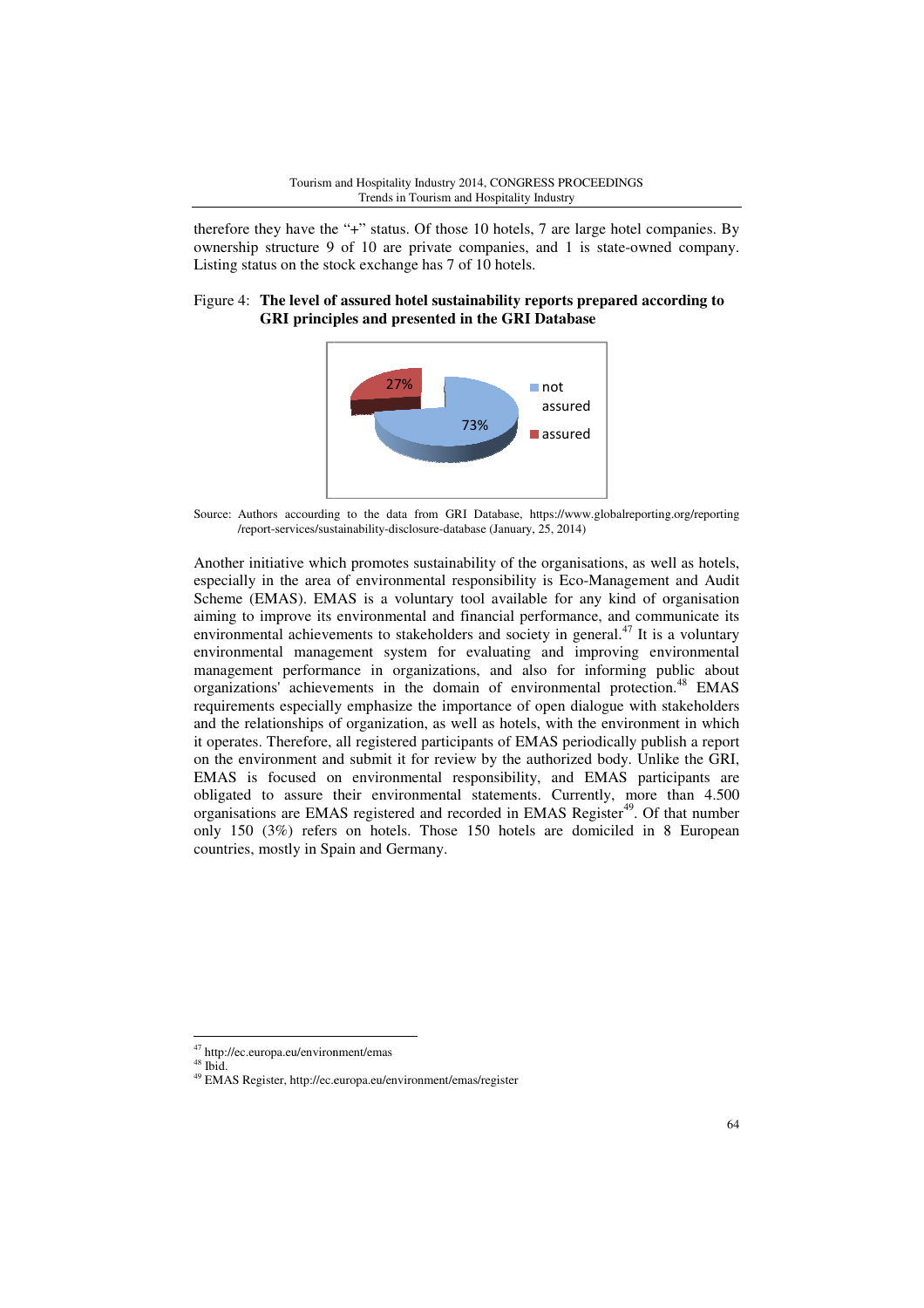therefore they have the "+" status. Of those 10 hotels, 7 are large hotel companies. By ownership structure 9 of 10 are private companies, and 1 is state-owned company. Listing status on the stock exchange has 7 of 10 hotels.

### Figure 4: The level of assured hotel sustainability reports prepared according to **GRI principles and presented in the GRI Database**



Source: Authors accourding to the data from GRI Database, https://www.globalreporting.org/reporting /report-services/sustainability-disclosure-database (January, 25, 2014)

Another initiative which promotes sustainability of the organisations, as well as hotels, especially in the area of environmental responsibility is Eco-Management and Audit Scheme (EMAS). EMAS is a voluntary tool available for any kind of organisation aiming to improve its environmental and financial performance, and communicate its environmental achievements to stakeholders and society in general.<sup>47</sup> It is a voluntary environmental management system for evaluating and improving environmental management performance in organizations, and also f for informing public about organizations' achievements in the domain of environmental protection <sup>48</sup> EMAS requirements especially emphasize the importance of open dialogue with stakeholders and the relationships of organization, as well as hotels, with the environment in which it operates. Therefore, all registered participants of EMAS periodically publish a report on the environment and submit it for review by the authorized body. Unlike the GRI, and the relationships of organization, as well as hotels, with the environment in which<br>it operates. Therefore, all registered participants of EMAS periodically publish a report<br>on the environment and submit it for review obligated to assure their environmental statements. Currently, more than 4.500 organisations are EMAS registered and recorded in EMAS Register<sup>49</sup>. Of that number only 150 (3%) refers on hotels. Those 150 hotels are domiciled in 8 European countries, mostly in Spain and Germany. 73%<br>
Authors accourding to the data from GRI Da<br>
/report-services/sustainability-disclosure-database<br>
r initiative which promotes sustainabilit<br>
Illy in the area of environmental response<br>
(EMAS). EMAS is a voluntary tool<br> 1 is state-owned<br> **ts prepared accor**<br> **changement**<br>
ured<br>
ured<br>
ured<br>
ured<br>
ured<br>
ured<br>
ured<br>
ured<br>
ured<br>
ured<br>
ured<br>
or protection.<br>
on an general.<sup>47</sup> It is a<br>
is a mance, and commu<br>
protection.<br>
in general.<sup>47</sup> It is a

<sup>47</sup> http://ec.europa.eu/environment/emas

 $^{48}$  Ibid.

<sup>49</sup> EMAS Register, http://ec.europa.eu/environment/emas/register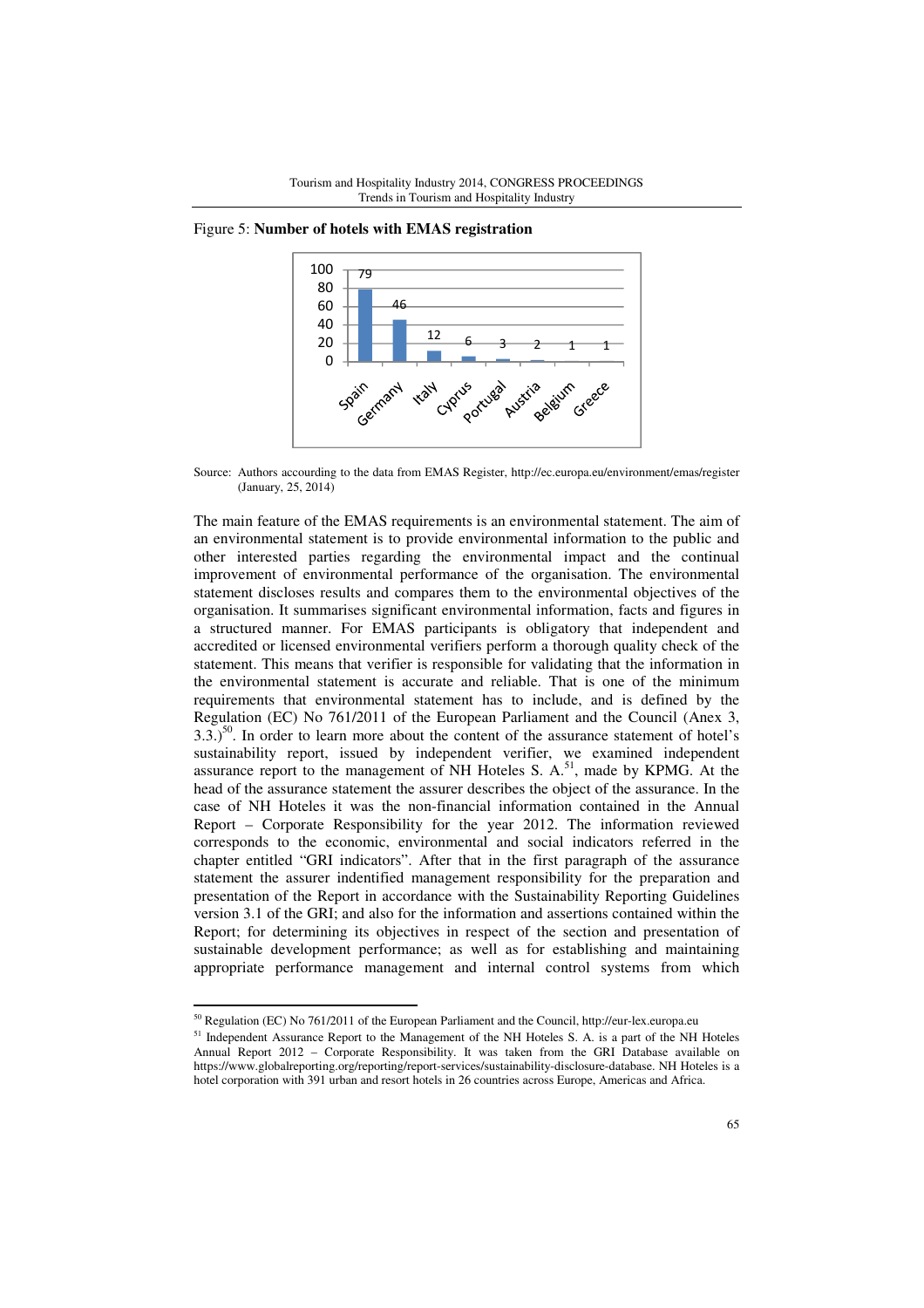

Figure 5: **Number of hotels with EMAS registration**

Source: Authors accourding to the data from EMAS Register, http://ec.europa.eu/environment/emas/register (January, 25, 2014)

The main feature of the EMAS requirements is an environmental statement. The aim of an environmental statement is to provide environmental information to the public and other interested parties regarding the environmental impact and the continual improvement of environmental performance of the organisation. The environmental statement discloses results and compares them to the environmental objectives of the organisation. It summarises significant environmental information, facts and figures in a structured manner. For EMAS participants is obligatory that independent and accredited or licensed environmental verifiers perform a thorough quality check of the statement. This means that verifier is responsible for validating that the information in the environmental statement is accurate and reliable. That is one of the minimum requirements that environmental statement has to include, and is defined by the Regulation (EC) No 761/2011 of the European Parliament and the Council (Anex 3,  $3.3$ .)<sup>50</sup>. In order to learn more about the content of the assurance statement of hotel's sustainability report, issued by independent verifier, we examined independent assurance report to the management of NH Hoteles S.  $A$ ,  $51$ , made by KPMG. At the head of the assurance statement the assurer describes the object of the assurance. In the case of NH Hoteles it was the non-financial information contained in the Annual Report – Corporate Responsibility for the year 2012. The information reviewed corresponds to the economic, environmental and social indicators referred in the chapter entitled "GRI indicators". After that in the first paragraph of the assurance statement the assurer indentified management responsibility for the preparation and presentation of the Report in accordance with the Sustainability Reporting Guidelines version 3.1 of the GRI; and also for the information and assertions contained within the Report; for determining its objectives in respect of the section and presentation of sustainable development performance; as well as for establishing and maintaining appropriate performance management and internal control systems from which

<sup>50</sup> Regulation (EC) No 761/2011 of the European Parliament and the Council, http://eur-lex.europa.eu

<sup>&</sup>lt;sup>51</sup> Independent Assurance Report to the Management of the NH Hoteles S. A. is a part of the NH Hoteles Annual Report 2012 – Corporate Responsibility. It was taken from the GRI Database available on https://www.globalreporting.org/reporting/report-services/sustainability-disclosure-database. NH Hoteles is a hotel corporation with 391 urban and resort hotels in 26 countries across Europe, Americas and Africa.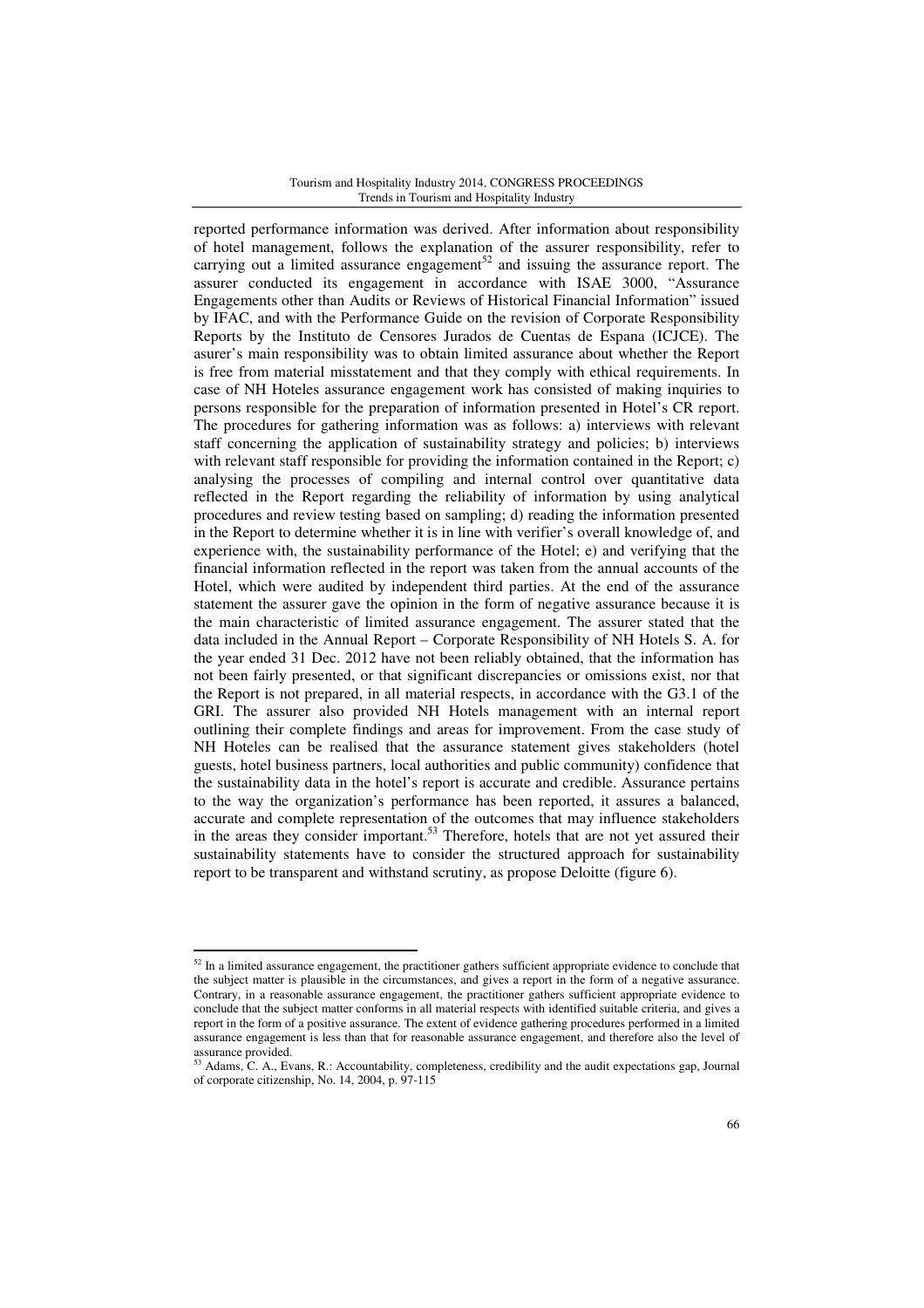reported performance information was derived. After information about responsibility of hotel management, follows the explanation of the assurer responsibility, refer to carrying out a limited assurance engagement<sup>52</sup> and issuing the assurance report. The assurer conducted its engagement in accordance with ISAE 3000, "Assurance Engagements other than Audits or Reviews of Historical Financial Information" issued by IFAC, and with the Performance Guide on the revision of Corporate Responsibility Reports by the Instituto de Censores Jurados de Cuentas de Espana (ICJCE). The asurer's main responsibility was to obtain limited assurance about whether the Report is free from material misstatement and that they comply with ethical requirements. In case of NH Hoteles assurance engagement work has consisted of making inquiries to persons responsible for the preparation of information presented in Hotel's CR report. The procedures for gathering information was as follows: a) interviews with relevant staff concerning the application of sustainability strategy and policies; b) interviews with relevant staff responsible for providing the information contained in the Report; c) analysing the processes of compiling and internal control over quantitative data reflected in the Report regarding the reliability of information by using analytical procedures and review testing based on sampling; d) reading the information presented in the Report to determine whether it is in line with verifier's overall knowledge of, and experience with, the sustainability performance of the Hotel; e) and verifying that the financial information reflected in the report was taken from the annual accounts of the Hotel, which were audited by independent third parties. At the end of the assurance statement the assurer gave the opinion in the form of negative assurance because it is the main characteristic of limited assurance engagement. The assurer stated that the data included in the Annual Report – Corporate Responsibility of NH Hotels S. A. for the year ended 31 Dec. 2012 have not been reliably obtained, that the information has not been fairly presented, or that significant discrepancies or omissions exist, nor that the Report is not prepared, in all material respects, in accordance with the G3.1 of the GRI. The assurer also provided NH Hotels management with an internal report outlining their complete findings and areas for improvement. From the case study of NH Hoteles can be realised that the assurance statement gives stakeholders (hotel guests, hotel business partners, local authorities and public community) confidence that the sustainability data in the hotel's report is accurate and credible. Assurance pertains to the way the organization's performance has been reported, it assures a balanced, accurate and complete representation of the outcomes that may influence stakeholders in the areas they consider important.<sup>53</sup> Therefore, hotels that are not yet assured their sustainability statements have to consider the structured approach for sustainability report to be transparent and withstand scrutiny, as propose Deloitte (figure 6).

<sup>&</sup>lt;sup>52</sup> In a limited assurance engagement, the practitioner gathers sufficient appropriate evidence to conclude that the subject matter is plausible in the circumstances, and gives a report in the form of a negative assurance. Contrary, in a reasonable assurance engagement, the practitioner gathers sufficient appropriate evidence to conclude that the subject matter conforms in all material respects with identified suitable criteria, and gives a report in the form of a positive assurance. The extent of evidence gathering procedures performed in a limited assurance engagement is less than that for reasonable assurance engagement, and therefore also the level of assurance provided.

<sup>&</sup>lt;sup>3</sup> Adams, C. A., Evans, R.: Accountability, completeness, credibility and the audit expectations gap, Journal of corporate citizenship, No. 14, 2004, p. 97-115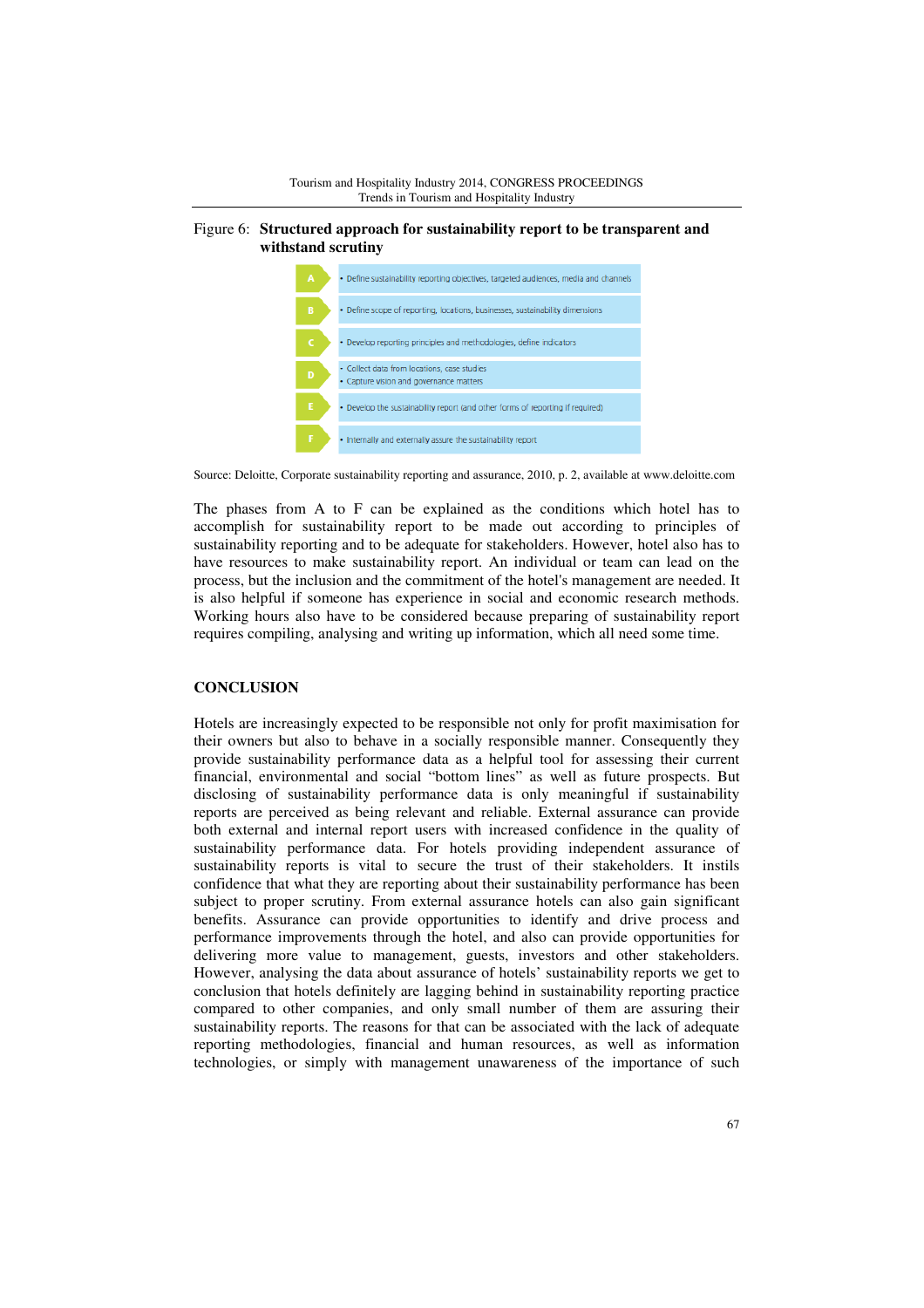

# Figure 6: **Structured approach for sustainability report to be transparent and withstand scrutiny**



Source: Deloitte, Corporate sustainability reporting and assurance, 2010, p. 2, available at www.deloitte.com

The phases from A to F can be explained as the conditions which hotel has to accomplish for sustainability report to be made out according to principles of sustainability reporting and to be adequate for stakeholders. However, hotel also has to have resources to make sustainability report. An individual or team can lead on the process, but the inclusion and the commitment of the hotel's management are needed. It is also helpful if someone has experience in social and economic research methods. Working hours also have to be considered because preparing of sustainability report requires compiling, analysing and writing up information, which all need some time.

# **CONCLUSION**

Hotels are increasingly expected to be responsible not only for profit maximisation for their owners but also to behave in a socially responsible manner. Consequently they provide sustainability performance data as a helpful tool for assessing their current financial, environmental and social "bottom lines" as well as future prospects. But disclosing of sustainability performance data is only meaningful if sustainability reports are perceived as being relevant and reliable. External assurance can provide both external and internal report users with increased confidence in the quality of sustainability performance data. For hotels providing independent assurance of sustainability reports is vital to secure the trust of their stakeholders. It instils confidence that what they are reporting about their sustainability performance has been subject to proper scrutiny. From external assurance hotels can also gain significant benefits. Assurance can provide opportunities to identify and drive process and performance improvements through the hotel, and also can provide opportunities for delivering more value to management, guests, investors and other stakeholders. However, analysing the data about assurance of hotels' sustainability reports we get to conclusion that hotels definitely are lagging behind in sustainability reporting practice compared to other companies, and only small number of them are assuring their sustainability reports. The reasons for that can be associated with the lack of adequate reporting methodologies, financial and human resources, as well as information technologies, or simply with management unawareness of the importance of such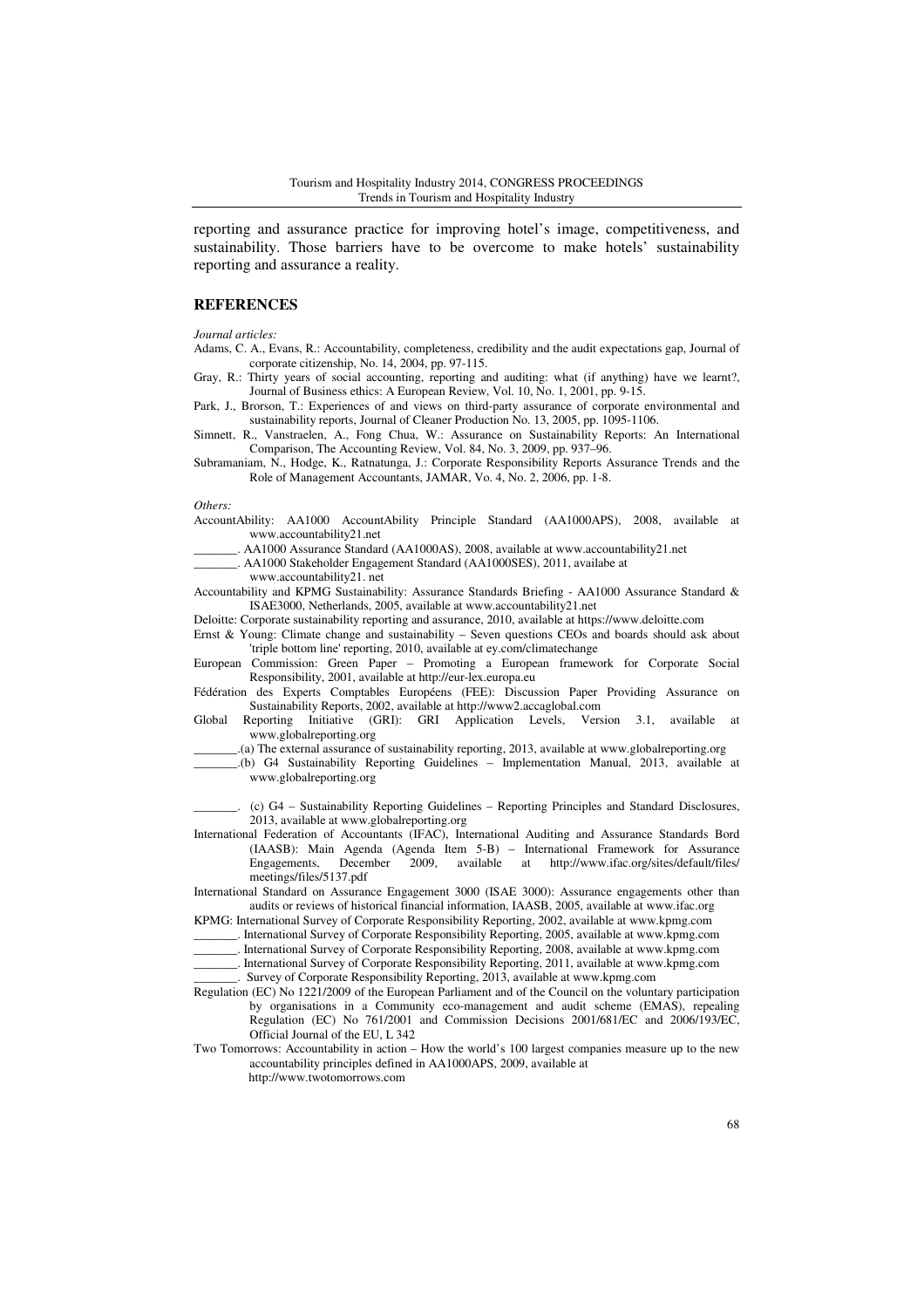reporting and assurance practice for improving hotel's image, competitiveness, and sustainability. Those barriers have to be overcome to make hotels' sustainability reporting and assurance a reality.

### **REFERENCES**

*Journal articles:* 

Adams, C. A., Evans, R.: Accountability, completeness, credibility and the audit expectations gap, Journal of corporate citizenship, No. 14, 2004, pp. 97-115.

Gray, R.: Thirty years of social accounting, reporting and auditing: what (if anything) have we learnt?, Journal of Business ethics: A European Review, Vol. 10, No. 1, 2001, pp. 9-15.

Park, J., Brorson, T.: Experiences of and views on third-party assurance of corporate environmental and sustainability reports, Journal of Cleaner Production No. 13, 2005, pp. 1095-1106.

Simnett, R., Vanstraelen, A., Fong Chua, W.: Assurance on Sustainability Reports: An International Comparison, The Accounting Review, Vol. 84, No. 3, 2009, pp. 937–96.

Subramaniam, N., Hodge, K., Ratnatunga, J.: Corporate Responsibility Reports Assurance Trends and the Role of Management Accountants, JAMAR, Vo. 4, No. 2, 2006, pp. 1-8.

#### *Others:*

AccountAbility: AA1000 AccountAbility Principle Standard (AA1000APS), 2008, available at www.accountability21.net

AA1000 Assurance Standard (AA1000AS), 2008, available at www.accountability21.net

\_\_\_\_\_\_\_. AA1000 Stakeholder Engagement Standard (AA1000SES), 2011, availabe at

www.accountability21. net

Accountability and KPMG Sustainability: Assurance Standards Briefing - AA1000 Assurance Standard & ISAE3000, Netherlands, 2005, available at www.accountability21.net

Deloitte: Corporate sustainability reporting and assurance, 2010, available at https://www.deloitte.com

Ernst & Young: Climate change and sustainability – Seven questions CEOs and boards should ask about 'triple bottom line' reporting, 2010, available at ey.com/climatechange

European Commission: Green Paper – Promoting a European framework for Corporate Social Responsibility, 2001, available at http://eur-lex.europa.eu

Fédération des Experts Comptables Européens (FEE): Discussion Paper Providing Assurance on Sustainability Reports, 2002, available at http://www2.accaglobal.com

Global Reporting Initiative (GRI): GRI Application Levels, Version 3.1, available at www.globalreporting.org

\_\_\_\_\_\_\_.(a) The external assurance of sustainability reporting, 2013, available at www.globalreporting.org

\_\_\_\_\_\_\_.(b) G4 Sustainability Reporting Guidelines – Implementation Manual, 2013, available at www.globalreporting.org

\_\_\_\_\_\_\_. (c) G4 – Sustainability Reporting Guidelines – Reporting Principles and Standard Disclosures, 2013, available at www.globalreporting.org

International Federation of Accountants (IFAC), International Auditing and Assurance Standards Bord (IAASB): Main Agenda (Agenda Item 5-B) – International Framework for Assurance Engagements, December 2009, available at http://www.ifac.org/sites/default/files/ meetings/files/5137.pdf

International Standard on Assurance Engagement 3000 (ISAE 3000): Assurance engagements other than audits or reviews of historical financial information, IAASB, 2005, available at www.ifac.org

KPMG: International Survey of Corporate Responsibility Reporting, 2002, available at www.kpmg.com

\_\_\_\_\_\_\_. International Survey of Corporate Responsibility Reporting, 2005, available at www.kpmg.com

\_\_\_\_\_\_\_. International Survey of Corporate Responsibility Reporting, 2008, available at www.kpmg.com \_\_\_\_\_\_\_. International Survey of Corporate Responsibility Reporting, 2011, available at www.kpmg.com

\_\_\_\_\_\_\_. Survey of Corporate Responsibility Reporting, 2013, available at www.kpmg.com

Regulation (EC) No 1221/2009 of the European Parliament and of the Council on the voluntary participation by organisations in a Community eco-management and audit scheme (EMAS), repealing Regulation (EC) No 761/2001 and Commission Decisions 2001/681/EC and 2006/193/EC, Official Journal of the EU, L 342

Two Tomorrows: Accountability in action – How the world's 100 largest companies measure up to the new accountability principles defined in AA1000APS, 2009, available at http://www.twotomorrows.com